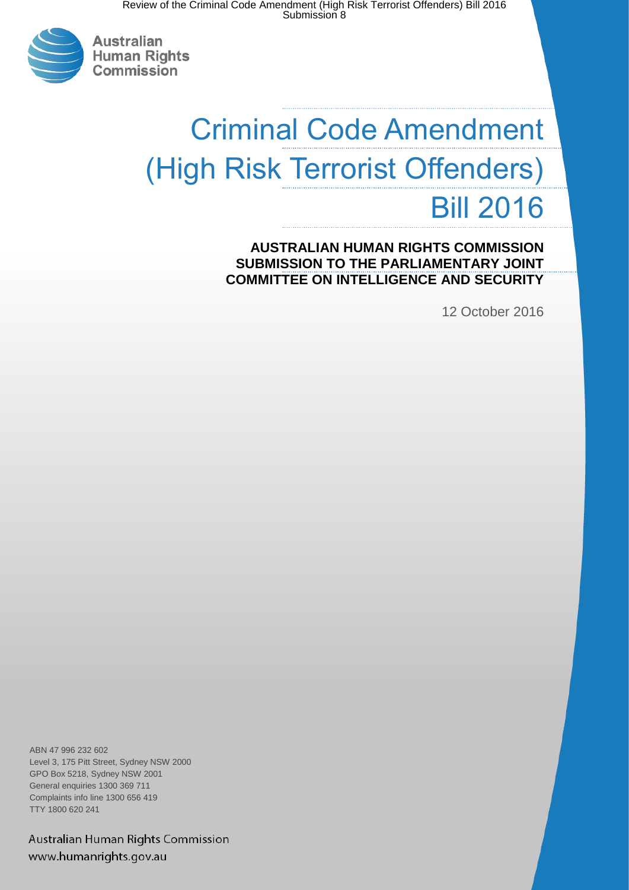

**Australian Human Rights** Commission

# Criminal Code Amendment (High Risk Terrorist Offenders) Bill 2016

**AUSTRALIAN HUMAN RIGHTS COMMISSION SUBMISSION TO THE PARLIAMENTARY JOINT COMMITTEE ON INTELLIGENCE AND SECURITY**

12 October 2016

ABN 47 996 232 602 Level 3, 175 Pitt Street, Sydney NSW 2000 GPO Box 5218, Sydney NSW 2001 General enquiries 1300 369 711 Complaints info line 1300 656 419 TTY 1800 620 241

Australian Human Rights Commission www.humanrights.gov.au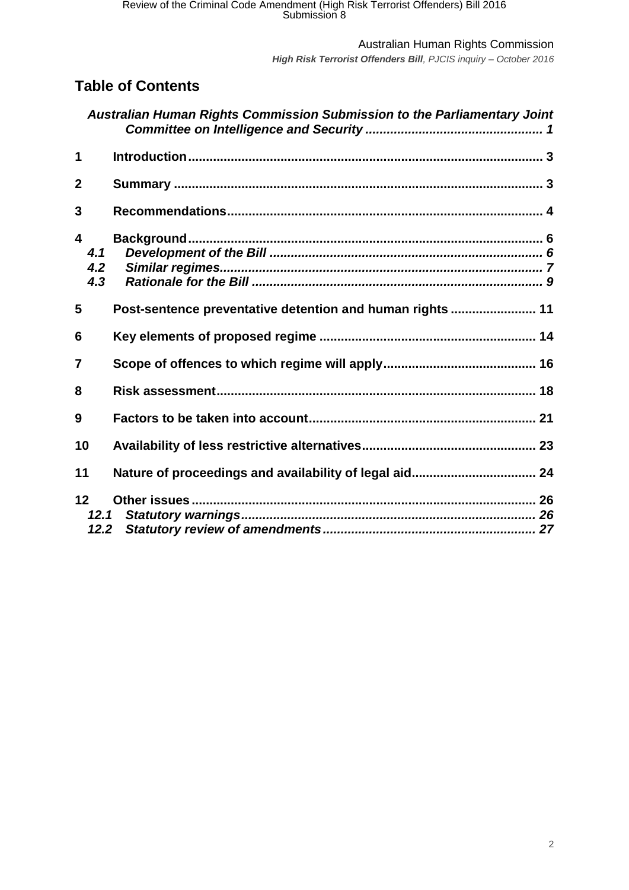*High Risk Terrorist Offenders Bill, PJCIS inquiry – October 2016*

# **Table of Contents**

|                 |                   | Australian Human Rights Commission Submission to the Parliamentary Joint |  |
|-----------------|-------------------|--------------------------------------------------------------------------|--|
| 1               |                   |                                                                          |  |
| $\overline{2}$  |                   |                                                                          |  |
| 3               |                   |                                                                          |  |
| 4               | 4.1<br>4.2<br>4.3 |                                                                          |  |
| 5               |                   | Post-sentence preventative detention and human rights  11                |  |
| 6               |                   |                                                                          |  |
| $\overline{7}$  |                   |                                                                          |  |
| 8               |                   |                                                                          |  |
| 9               |                   |                                                                          |  |
| 10              |                   |                                                                          |  |
| 11              |                   | Nature of proceedings and availability of legal aid 24                   |  |
| 12 <sub>2</sub> | 12.1<br>12.2      |                                                                          |  |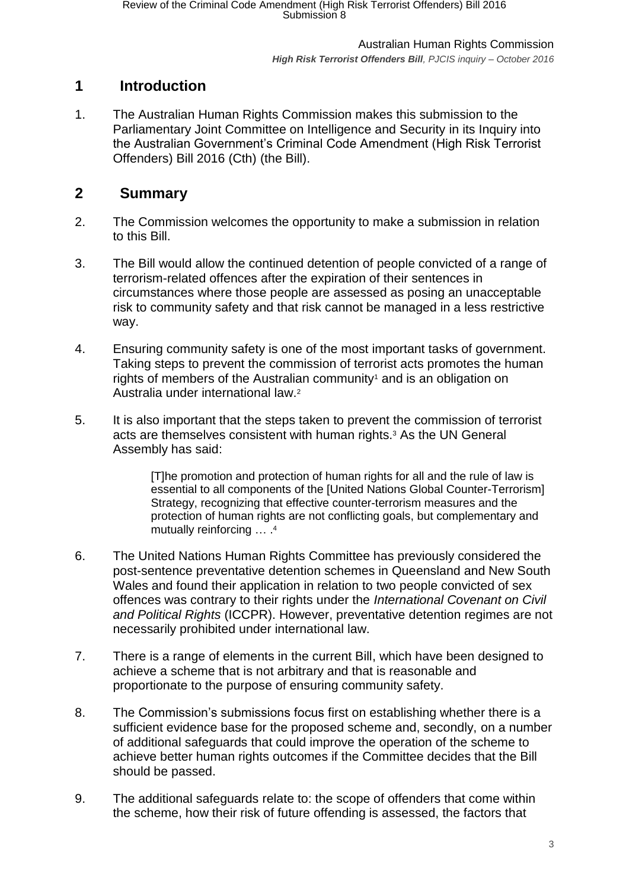# <span id="page-2-0"></span>**1 Introduction**

1. The Australian Human Rights Commission makes this submission to the Parliamentary Joint Committee on Intelligence and Security in its Inquiry into the Australian Government's Criminal Code Amendment (High Risk Terrorist Offenders) Bill 2016 (Cth) (the Bill).

# <span id="page-2-1"></span>**2 Summary**

- 2. The Commission welcomes the opportunity to make a submission in relation to this Bill.
- 3. The Bill would allow the continued detention of people convicted of a range of terrorism-related offences after the expiration of their sentences in circumstances where those people are assessed as posing an unacceptable risk to community safety and that risk cannot be managed in a less restrictive way.
- 4. Ensuring community safety is one of the most important tasks of government. Taking steps to prevent the commission of terrorist acts promotes the human rights of members of the Australian community<sup>1</sup> and is an obligation on Australia under international law.<sup>2</sup>
- 5. It is also important that the steps taken to prevent the commission of terrorist acts are themselves consistent with human rights.<sup>3</sup> As the UN General Assembly has said:

[T]he promotion and protection of human rights for all and the rule of law is essential to all components of the [United Nations Global Counter-Terrorism] Strategy, recognizing that effective counter-terrorism measures and the protection of human rights are not conflicting goals, but complementary and mutually reinforcing ... .<sup>4</sup>

- 6. The United Nations Human Rights Committee has previously considered the post-sentence preventative detention schemes in Queensland and New South Wales and found their application in relation to two people convicted of sex offences was contrary to their rights under the *International Covenant on Civil and Political Rights* (ICCPR). However, preventative detention regimes are not necessarily prohibited under international law.
- 7. There is a range of elements in the current Bill, which have been designed to achieve a scheme that is not arbitrary and that is reasonable and proportionate to the purpose of ensuring community safety.
- 8. The Commission's submissions focus first on establishing whether there is a sufficient evidence base for the proposed scheme and, secondly, on a number of additional safeguards that could improve the operation of the scheme to achieve better human rights outcomes if the Committee decides that the Bill should be passed.
- 9. The additional safeguards relate to: the scope of offenders that come within the scheme, how their risk of future offending is assessed, the factors that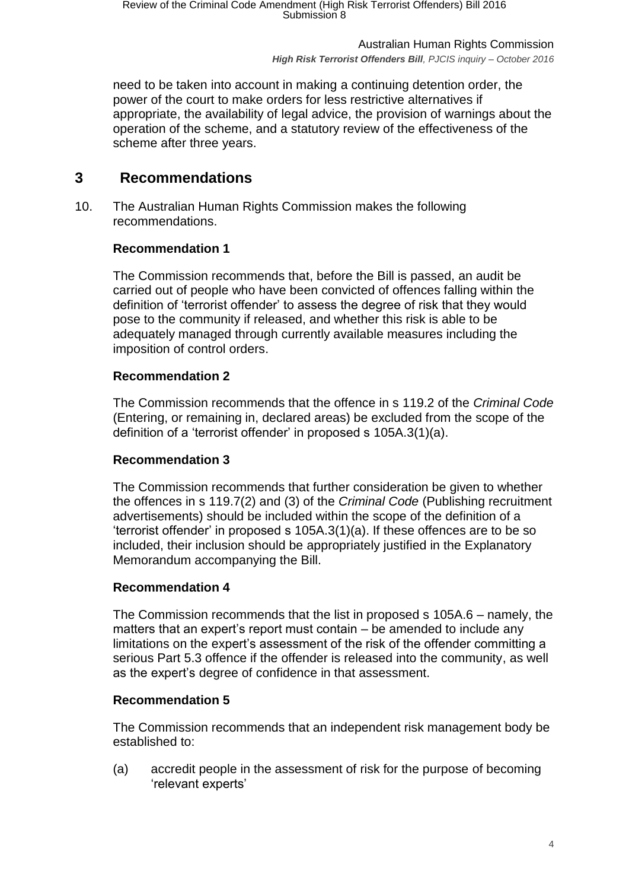Australian Human Rights Commission *High Risk Terrorist Offenders Bill, PJCIS inquiry – October 2016*

need to be taken into account in making a continuing detention order, the power of the court to make orders for less restrictive alternatives if appropriate, the availability of legal advice, the provision of warnings about the operation of the scheme, and a statutory review of the effectiveness of the scheme after three years.

# <span id="page-3-0"></span>**3 Recommendations**

10. The Australian Human Rights Commission makes the following recommendations.

## **Recommendation 1**

The Commission recommends that, before the Bill is passed, an audit be carried out of people who have been convicted of offences falling within the definition of 'terrorist offender' to assess the degree of risk that they would pose to the community if released, and whether this risk is able to be adequately managed through currently available measures including the imposition of control orders.

### **Recommendation 2**

The Commission recommends that the offence in s 119.2 of the *Criminal Code* (Entering, or remaining in, declared areas) be excluded from the scope of the definition of a 'terrorist offender' in proposed s 105A.3(1)(a).

### **Recommendation 3**

The Commission recommends that further consideration be given to whether the offences in s 119.7(2) and (3) of the *Criminal Code* (Publishing recruitment advertisements) should be included within the scope of the definition of a 'terrorist offender' in proposed s 105A.3(1)(a). If these offences are to be so included, their inclusion should be appropriately justified in the Explanatory Memorandum accompanying the Bill.

### **Recommendation 4**

The Commission recommends that the list in proposed s 105A.6 – namely, the matters that an expert's report must contain – be amended to include any limitations on the expert's assessment of the risk of the offender committing a serious Part 5.3 offence if the offender is released into the community, as well as the expert's degree of confidence in that assessment.

### **Recommendation 5**

The Commission recommends that an independent risk management body be established to:

(a) accredit people in the assessment of risk for the purpose of becoming 'relevant experts'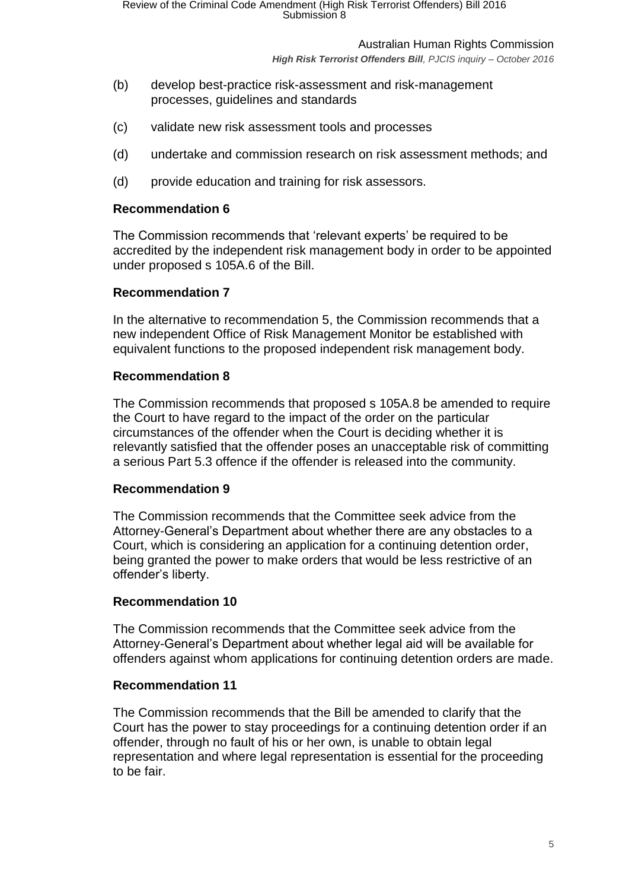*High Risk Terrorist Offenders Bill, PJCIS inquiry – October 2016*

- (b) develop best-practice risk-assessment and risk-management processes, guidelines and standards
- (c) validate new risk assessment tools and processes
- (d) undertake and commission research on risk assessment methods; and
- (d) provide education and training for risk assessors.

### **Recommendation 6**

The Commission recommends that 'relevant experts' be required to be accredited by the independent risk management body in order to be appointed under proposed s 105A.6 of the Bill.

## **Recommendation 7**

In the alternative to recommendation 5, the Commission recommends that a new independent Office of Risk Management Monitor be established with equivalent functions to the proposed independent risk management body.

### **Recommendation 8**

The Commission recommends that proposed s 105A.8 be amended to require the Court to have regard to the impact of the order on the particular circumstances of the offender when the Court is deciding whether it is relevantly satisfied that the offender poses an unacceptable risk of committing a serious Part 5.3 offence if the offender is released into the community.

### **Recommendation 9**

The Commission recommends that the Committee seek advice from the Attorney-General's Department about whether there are any obstacles to a Court, which is considering an application for a continuing detention order, being granted the power to make orders that would be less restrictive of an offender's liberty.

### **Recommendation 10**

The Commission recommends that the Committee seek advice from the Attorney-General's Department about whether legal aid will be available for offenders against whom applications for continuing detention orders are made.

### **Recommendation 11**

The Commission recommends that the Bill be amended to clarify that the Court has the power to stay proceedings for a continuing detention order if an offender, through no fault of his or her own, is unable to obtain legal representation and where legal representation is essential for the proceeding to be fair.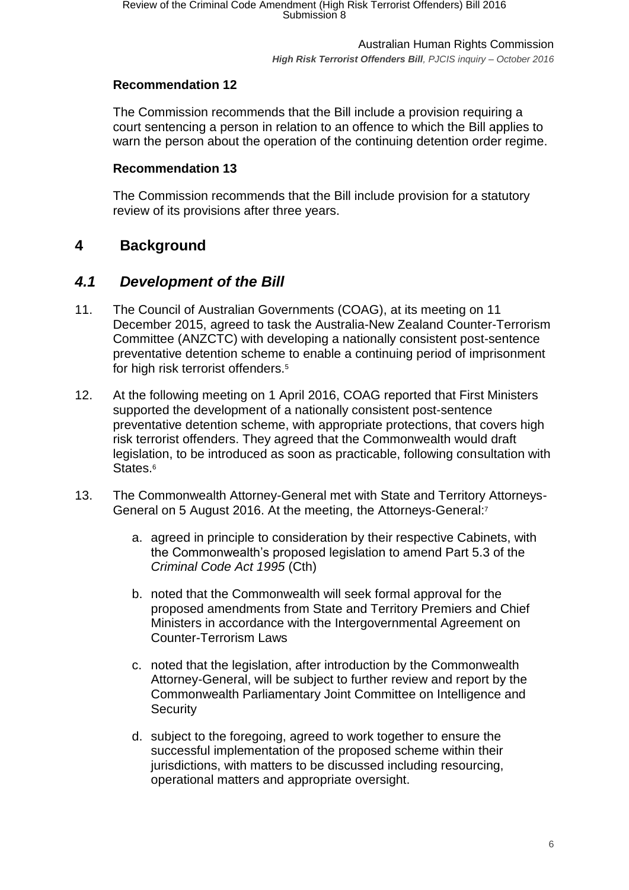# **Recommendation 12**

The Commission recommends that the Bill include a provision requiring a court sentencing a person in relation to an offence to which the Bill applies to warn the person about the operation of the continuing detention order regime.

## **Recommendation 13**

The Commission recommends that the Bill include provision for a statutory review of its provisions after three years.

# <span id="page-5-0"></span>**4 Background**

# <span id="page-5-1"></span>*4.1 Development of the Bill*

- 11. The Council of Australian Governments (COAG), at its meeting on 11 December 2015, agreed to task the Australia-New Zealand Counter-Terrorism Committee (ANZCTC) with developing a nationally consistent post-sentence preventative detention scheme to enable a continuing period of imprisonment for high risk terrorist offenders.<sup>5</sup>
- 12. At the following meeting on 1 April 2016, COAG reported that First Ministers supported the development of a nationally consistent post-sentence preventative detention scheme, with appropriate protections, that covers high risk terrorist offenders. They agreed that the Commonwealth would draft legislation, to be introduced as soon as practicable, following consultation with States.<sup>6</sup>
- 13. The Commonwealth Attorney-General met with State and Territory Attorneys-General on 5 August 2016. At the meeting, the Attorneys-General:<sup>7</sup>
	- a. agreed in principle to consideration by their respective Cabinets, with the Commonwealth's proposed legislation to amend Part 5.3 of the *Criminal Code Act 1995* (Cth)
	- b. noted that the Commonwealth will seek formal approval for the proposed amendments from State and Territory Premiers and Chief Ministers in accordance with the Intergovernmental Agreement on Counter-Terrorism Laws
	- c. noted that the legislation, after introduction by the Commonwealth Attorney-General, will be subject to further review and report by the Commonwealth Parliamentary Joint Committee on Intelligence and **Security**
	- d. subject to the foregoing, agreed to work together to ensure the successful implementation of the proposed scheme within their jurisdictions, with matters to be discussed including resourcing, operational matters and appropriate oversight.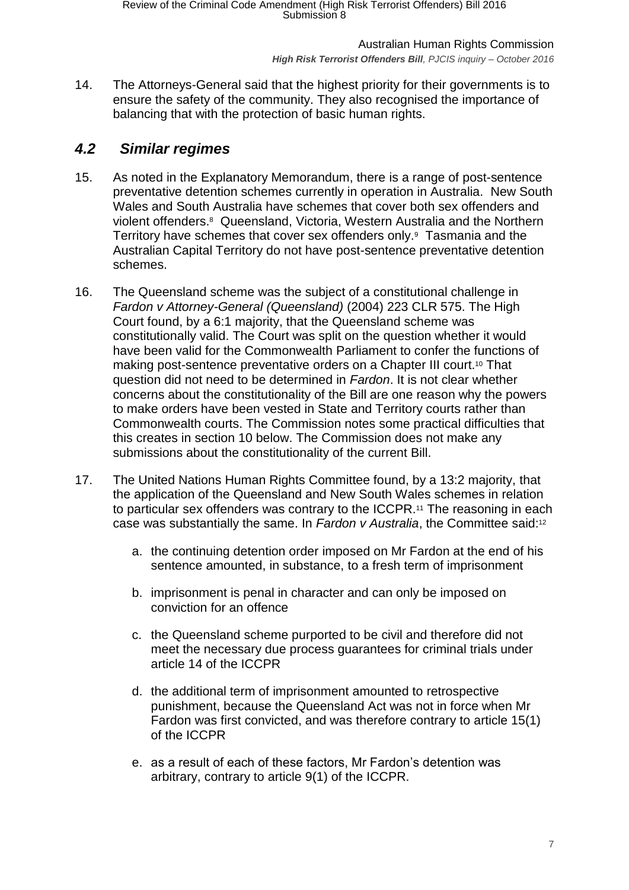14. The Attorneys-General said that the highest priority for their governments is to ensure the safety of the community. They also recognised the importance of balancing that with the protection of basic human rights.

# <span id="page-6-0"></span>*4.2 Similar regimes*

- 15. As noted in the Explanatory Memorandum, there is a range of post-sentence preventative detention schemes currently in operation in Australia. New South Wales and South Australia have schemes that cover both sex offenders and violent offenders.<sup>8</sup> Queensland, Victoria, Western Australia and the Northern Territory have schemes that cover sex offenders only.<sup>9</sup> Tasmania and the Australian Capital Territory do not have post-sentence preventative detention schemes.
- 16. The Queensland scheme was the subject of a constitutional challenge in *Fardon v Attorney-General (Queensland)* (2004) 223 CLR 575. The High Court found, by a 6:1 majority, that the Queensland scheme was constitutionally valid. The Court was split on the question whether it would have been valid for the Commonwealth Parliament to confer the functions of making post-sentence preventative orders on a Chapter III court.<sup>10</sup> That question did not need to be determined in *Fardon*. It is not clear whether concerns about the constitutionality of the Bill are one reason why the powers to make orders have been vested in State and Territory courts rather than Commonwealth courts. The Commission notes some practical difficulties that this creates in section [10](#page-22-0) below. The Commission does not make any submissions about the constitutionality of the current Bill.
- 17. The United Nations Human Rights Committee found, by a 13:2 majority, that the application of the Queensland and New South Wales schemes in relation to particular sex offenders was contrary to the ICCPR. <sup>11</sup> The reasoning in each case was substantially the same. In Fardon v Australia, the Committee said:<sup>12</sup>
	- a. the continuing detention order imposed on Mr Fardon at the end of his sentence amounted, in substance, to a fresh term of imprisonment
	- b. imprisonment is penal in character and can only be imposed on conviction for an offence
	- c. the Queensland scheme purported to be civil and therefore did not meet the necessary due process guarantees for criminal trials under article 14 of the ICCPR
	- d. the additional term of imprisonment amounted to retrospective punishment, because the Queensland Act was not in force when Mr Fardon was first convicted, and was therefore contrary to article 15(1) of the ICCPR
	- e. as a result of each of these factors, Mr Fardon's detention was arbitrary, contrary to article 9(1) of the ICCPR.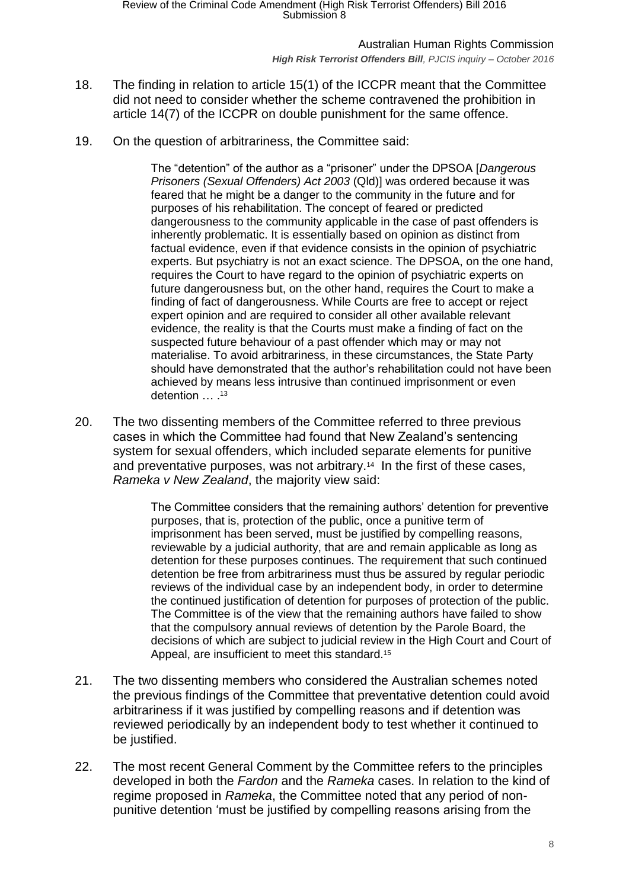*High Risk Terrorist Offenders Bill, PJCIS inquiry – October 2016*

- 18. The finding in relation to article 15(1) of the ICCPR meant that the Committee did not need to consider whether the scheme contravened the prohibition in article 14(7) of the ICCPR on double punishment for the same offence.
- 19. On the question of arbitrariness, the Committee said:

The "detention" of the author as a "prisoner" under the DPSOA [*Dangerous Prisoners (Sexual Offenders) Act 2003* (Qld)] was ordered because it was feared that he might be a danger to the community in the future and for purposes of his rehabilitation. The concept of feared or predicted dangerousness to the community applicable in the case of past offenders is inherently problematic. It is essentially based on opinion as distinct from factual evidence, even if that evidence consists in the opinion of psychiatric experts. But psychiatry is not an exact science. The DPSOA, on the one hand, requires the Court to have regard to the opinion of psychiatric experts on future dangerousness but, on the other hand, requires the Court to make a finding of fact of dangerousness. While Courts are free to accept or reject expert opinion and are required to consider all other available relevant evidence, the reality is that the Courts must make a finding of fact on the suspected future behaviour of a past offender which may or may not materialise. To avoid arbitrariness, in these circumstances, the State Party should have demonstrated that the author's rehabilitation could not have been achieved by means less intrusive than continued imprisonment or even detention ... .<sup>13</sup>

20. The two dissenting members of the Committee referred to three previous cases in which the Committee had found that New Zealand's sentencing system for sexual offenders, which included separate elements for punitive and preventative purposes, was not arbitrary.<sup>14</sup> In the first of these cases, *Rameka v New Zealand*, the majority view said:

> The Committee considers that the remaining authors' detention for preventive purposes, that is, protection of the public, once a punitive term of imprisonment has been served, must be justified by compelling reasons, reviewable by a judicial authority, that are and remain applicable as long as detention for these purposes continues. The requirement that such continued detention be free from arbitrariness must thus be assured by regular periodic reviews of the individual case by an independent body, in order to determine the continued justification of detention for purposes of protection of the public. The Committee is of the view that the remaining authors have failed to show that the compulsory annual reviews of detention by the Parole Board, the decisions of which are subject to judicial review in the High Court and Court of Appeal, are insufficient to meet this standard.<sup>15</sup>

- 21. The two dissenting members who considered the Australian schemes noted the previous findings of the Committee that preventative detention could avoid arbitrariness if it was justified by compelling reasons and if detention was reviewed periodically by an independent body to test whether it continued to be justified.
- 22. The most recent General Comment by the Committee refers to the principles developed in both the *Fardon* and the *Rameka* cases. In relation to the kind of regime proposed in *Rameka*, the Committee noted that any period of nonpunitive detention 'must be justified by compelling reasons arising from the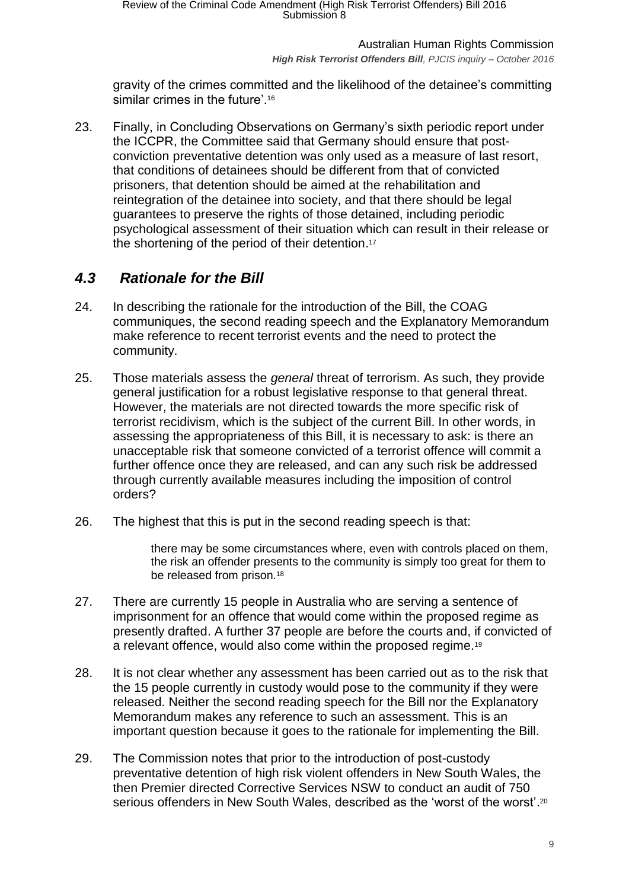gravity of the crimes committed and the likelihood of the detainee's committing similar crimes in the future'.<sup>16</sup>

23. Finally, in Concluding Observations on Germany's sixth periodic report under the ICCPR, the Committee said that Germany should ensure that postconviction preventative detention was only used as a measure of last resort, that conditions of detainees should be different from that of convicted prisoners, that detention should be aimed at the rehabilitation and reintegration of the detainee into society, and that there should be legal guarantees to preserve the rights of those detained, including periodic psychological assessment of their situation which can result in their release or the shortening of the period of their detention. 17

# <span id="page-8-0"></span>*4.3 Rationale for the Bill*

- 24. In describing the rationale for the introduction of the Bill, the COAG communiques, the second reading speech and the Explanatory Memorandum make reference to recent terrorist events and the need to protect the community.
- 25. Those materials assess the *general* threat of terrorism. As such, they provide general justification for a robust legislative response to that general threat. However, the materials are not directed towards the more specific risk of terrorist recidivism, which is the subject of the current Bill. In other words, in assessing the appropriateness of this Bill, it is necessary to ask: is there an unacceptable risk that someone convicted of a terrorist offence will commit a further offence once they are released, and can any such risk be addressed through currently available measures including the imposition of control orders?
- 26. The highest that this is put in the second reading speech is that:

there may be some circumstances where, even with controls placed on them, the risk an offender presents to the community is simply too great for them to be released from prison.<sup>18</sup>

- 27. There are currently 15 people in Australia who are serving a sentence of imprisonment for an offence that would come within the proposed regime as presently drafted. A further 37 people are before the courts and, if convicted of a relevant offence, would also come within the proposed regime.<sup>19</sup>
- 28. It is not clear whether any assessment has been carried out as to the risk that the 15 people currently in custody would pose to the community if they were released. Neither the second reading speech for the Bill nor the Explanatory Memorandum makes any reference to such an assessment. This is an important question because it goes to the rationale for implementing the Bill.
- 29. The Commission notes that prior to the introduction of post-custody preventative detention of high risk violent offenders in New South Wales, the then Premier directed Corrective Services NSW to conduct an audit of 750 serious offenders in New South Wales, described as the 'worst of the worst'.<sup>20</sup>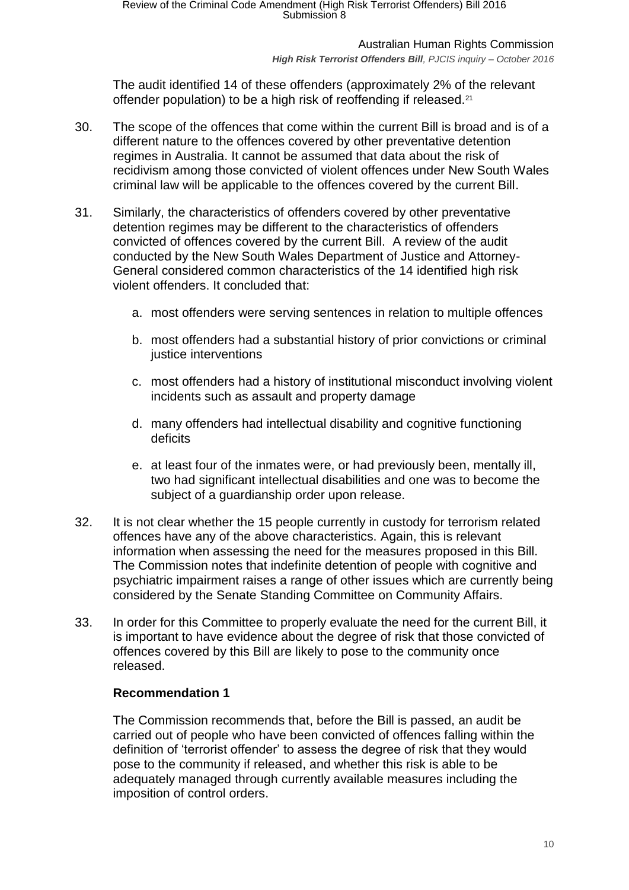#### *High Risk Terrorist Offenders Bill, PJCIS inquiry – October 2016*

The audit identified 14 of these offenders (approximately 2% of the relevant offender population) to be a high risk of reoffending if released.<sup>21</sup>

- 30. The scope of the offences that come within the current Bill is broad and is of a different nature to the offences covered by other preventative detention regimes in Australia. It cannot be assumed that data about the risk of recidivism among those convicted of violent offences under New South Wales criminal law will be applicable to the offences covered by the current Bill.
- 31. Similarly, the characteristics of offenders covered by other preventative detention regimes may be different to the characteristics of offenders convicted of offences covered by the current Bill. A review of the audit conducted by the New South Wales Department of Justice and Attorney-General considered common characteristics of the 14 identified high risk violent offenders. It concluded that:
	- a. most offenders were serving sentences in relation to multiple offences
	- b. most offenders had a substantial history of prior convictions or criminal justice interventions
	- c. most offenders had a history of institutional misconduct involving violent incidents such as assault and property damage
	- d. many offenders had intellectual disability and cognitive functioning deficits
	- e. at least four of the inmates were, or had previously been, mentally ill, two had significant intellectual disabilities and one was to become the subject of a guardianship order upon release.
- 32. It is not clear whether the 15 people currently in custody for terrorism related offences have any of the above characteristics. Again, this is relevant information when assessing the need for the measures proposed in this Bill. The Commission notes that indefinite detention of people with cognitive and psychiatric impairment raises a range of other issues which are currently being considered by the Senate Standing Committee on Community Affairs.
- 33. In order for this Committee to properly evaluate the need for the current Bill, it is important to have evidence about the degree of risk that those convicted of offences covered by this Bill are likely to pose to the community once released.

# **Recommendation 1**

The Commission recommends that, before the Bill is passed, an audit be carried out of people who have been convicted of offences falling within the definition of 'terrorist offender' to assess the degree of risk that they would pose to the community if released, and whether this risk is able to be adequately managed through currently available measures including the imposition of control orders.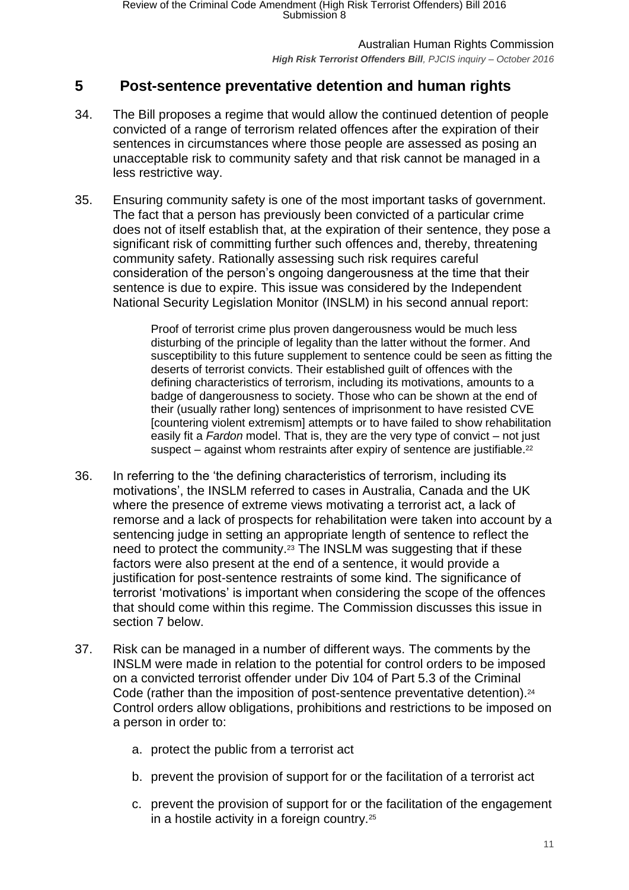# <span id="page-10-0"></span>**5 Post-sentence preventative detention and human rights**

- 34. The Bill proposes a regime that would allow the continued detention of people convicted of a range of terrorism related offences after the expiration of their sentences in circumstances where those people are assessed as posing an unacceptable risk to community safety and that risk cannot be managed in a less restrictive way.
- 35. Ensuring community safety is one of the most important tasks of government. The fact that a person has previously been convicted of a particular crime does not of itself establish that, at the expiration of their sentence, they pose a significant risk of committing further such offences and, thereby, threatening community safety. Rationally assessing such risk requires careful consideration of the person's ongoing dangerousness at the time that their sentence is due to expire. This issue was considered by the Independent National Security Legislation Monitor (INSLM) in his second annual report:

Proof of terrorist crime plus proven dangerousness would be much less disturbing of the principle of legality than the latter without the former. And susceptibility to this future supplement to sentence could be seen as fitting the deserts of terrorist convicts. Their established guilt of offences with the defining characteristics of terrorism, including its motivations, amounts to a badge of dangerousness to society. Those who can be shown at the end of their (usually rather long) sentences of imprisonment to have resisted CVE [countering violent extremism] attempts or to have failed to show rehabilitation easily fit a *Fardon* model. That is, they are the very type of convict – not just suspect  $-$  against whom restraints after expiry of sentence are justifiable.<sup>22</sup>

- 36. In referring to the 'the defining characteristics of terrorism, including its motivations', the INSLM referred to cases in Australia, Canada and the UK where the presence of extreme views motivating a terrorist act, a lack of remorse and a lack of prospects for rehabilitation were taken into account by a sentencing judge in setting an appropriate length of sentence to reflect the need to protect the community. <sup>23</sup> The INSLM was suggesting that if these factors were also present at the end of a sentence, it would provide a justification for post-sentence restraints of some kind. The significance of terrorist 'motivations' is important when considering the scope of the offences that should come within this regime. The Commission discusses this issue in section [7](#page-15-0) below.
- 37. Risk can be managed in a number of different ways. The comments by the INSLM were made in relation to the potential for control orders to be imposed on a convicted terrorist offender under Div 104 of Part 5.3 of the Criminal Code (rather than the imposition of post-sentence preventative detention).<sup>24</sup> Control orders allow obligations, prohibitions and restrictions to be imposed on a person in order to:
	- a. protect the public from a terrorist act
	- b. prevent the provision of support for or the facilitation of a terrorist act
	- c. prevent the provision of support for or the facilitation of the engagement in a hostile activity in a foreign country.<sup>25</sup>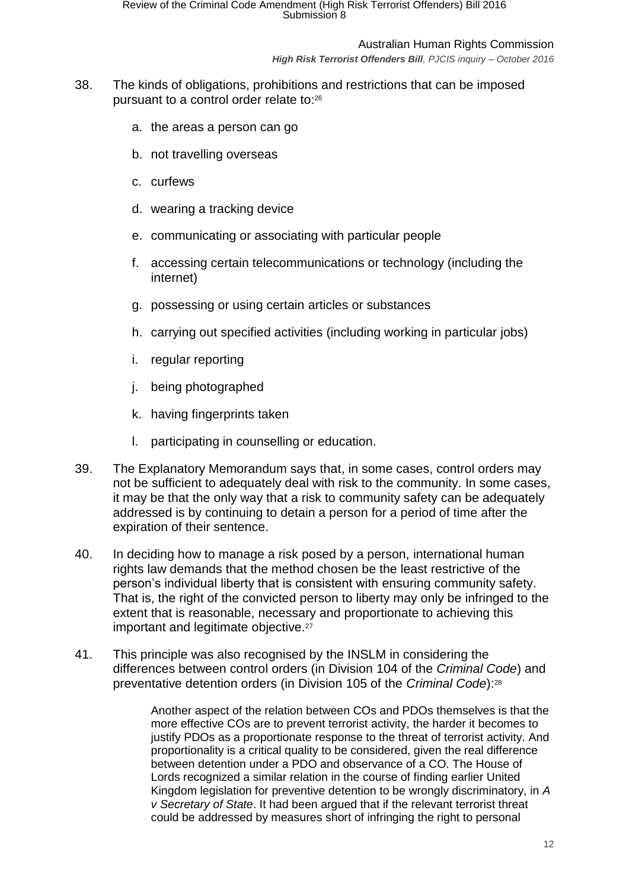*High Risk Terrorist Offenders Bill, PJCIS inquiry – October 2016*

- 38. The kinds of obligations, prohibitions and restrictions that can be imposed pursuant to a control order relate to:<sup>26</sup>
	- a. the areas a person can go
	- b. not travelling overseas
	- c. curfews
	- d. wearing a tracking device
	- e. communicating or associating with particular people
	- f. accessing certain telecommunications or technology (including the internet)
	- g. possessing or using certain articles or substances
	- h. carrying out specified activities (including working in particular jobs)
	- i. regular reporting
	- j. being photographed
	- k. having fingerprints taken
	- l. participating in counselling or education.
- 39. The Explanatory Memorandum says that, in some cases, control orders may not be sufficient to adequately deal with risk to the community. In some cases, it may be that the only way that a risk to community safety can be adequately addressed is by continuing to detain a person for a period of time after the expiration of their sentence.
- 40. In deciding how to manage a risk posed by a person, international human rights law demands that the method chosen be the least restrictive of the person's individual liberty that is consistent with ensuring community safety. That is, the right of the convicted person to liberty may only be infringed to the extent that is reasonable, necessary and proportionate to achieving this important and legitimate objective.<sup>27</sup>
- 41. This principle was also recognised by the INSLM in considering the differences between control orders (in Division 104 of the *Criminal Code*) and preventative detention orders (in Division 105 of the *Criminal Code*):<sup>28</sup>

Another aspect of the relation between COs and PDOs themselves is that the more effective COs are to prevent terrorist activity, the harder it becomes to justify PDOs as a proportionate response to the threat of terrorist activity. And proportionality is a critical quality to be considered, given the real difference between detention under a PDO and observance of a CO. The House of Lords recognized a similar relation in the course of finding earlier United Kingdom legislation for preventive detention to be wrongly discriminatory, in *A v Secretary of State*. It had been argued that if the relevant terrorist threat could be addressed by measures short of infringing the right to personal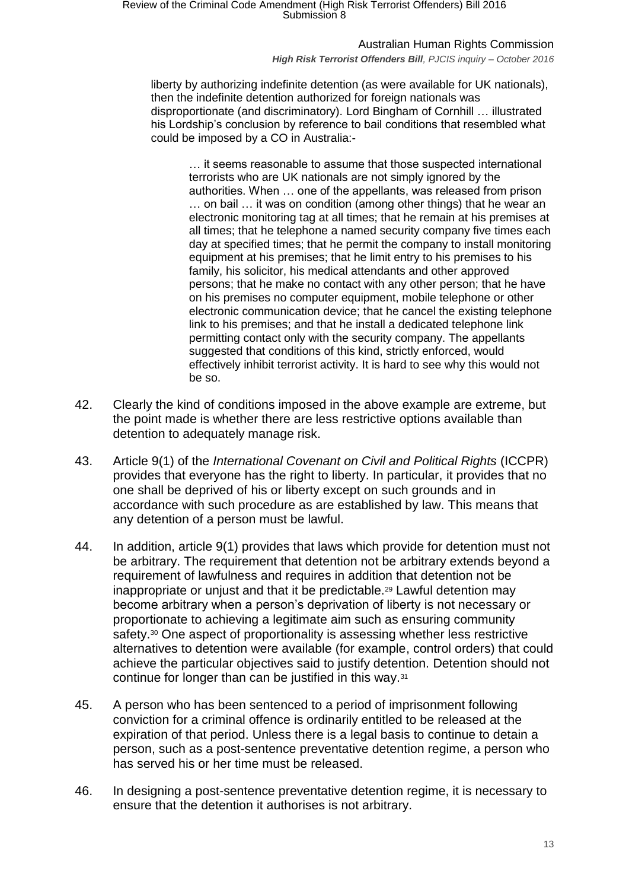#### Australian Human Rights Commission

#### *High Risk Terrorist Offenders Bill, PJCIS inquiry – October 2016*

liberty by authorizing indefinite detention (as were available for UK nationals), then the indefinite detention authorized for foreign nationals was disproportionate (and discriminatory). Lord Bingham of Cornhill … illustrated his Lordship's conclusion by reference to bail conditions that resembled what could be imposed by a CO in Australia:-

… it seems reasonable to assume that those suspected international terrorists who are UK nationals are not simply ignored by the authorities. When … one of the appellants, was released from prison … on bail … it was on condition (among other things) that he wear an electronic monitoring tag at all times; that he remain at his premises at all times; that he telephone a named security company five times each day at specified times; that he permit the company to install monitoring equipment at his premises; that he limit entry to his premises to his family, his solicitor, his medical attendants and other approved persons; that he make no contact with any other person; that he have on his premises no computer equipment, mobile telephone or other electronic communication device; that he cancel the existing telephone link to his premises; and that he install a dedicated telephone link permitting contact only with the security company. The appellants suggested that conditions of this kind, strictly enforced, would effectively inhibit terrorist activity. It is hard to see why this would not be so.

- 42. Clearly the kind of conditions imposed in the above example are extreme, but the point made is whether there are less restrictive options available than detention to adequately manage risk.
- 43. Article 9(1) of the *International Covenant on Civil and Political Rights* (ICCPR) provides that everyone has the right to liberty. In particular, it provides that no one shall be deprived of his or liberty except on such grounds and in accordance with such procedure as are established by law. This means that any detention of a person must be lawful.
- 44. In addition, article 9(1) provides that laws which provide for detention must not be arbitrary. The requirement that detention not be arbitrary extends beyond a requirement of lawfulness and requires in addition that detention not be inappropriate or unjust and that it be predictable.<sup>29</sup> Lawful detention may become arbitrary when a person's deprivation of liberty is not necessary or proportionate to achieving a legitimate aim such as ensuring community safety.<sup>30</sup> One aspect of proportionality is assessing whether less restrictive alternatives to detention were available (for example, control orders) that could achieve the particular objectives said to justify detention. Detention should not continue for longer than can be justified in this way.<sup>31</sup>
- 45. A person who has been sentenced to a period of imprisonment following conviction for a criminal offence is ordinarily entitled to be released at the expiration of that period. Unless there is a legal basis to continue to detain a person, such as a post-sentence preventative detention regime, a person who has served his or her time must be released.
- 46. In designing a post-sentence preventative detention regime, it is necessary to ensure that the detention it authorises is not arbitrary.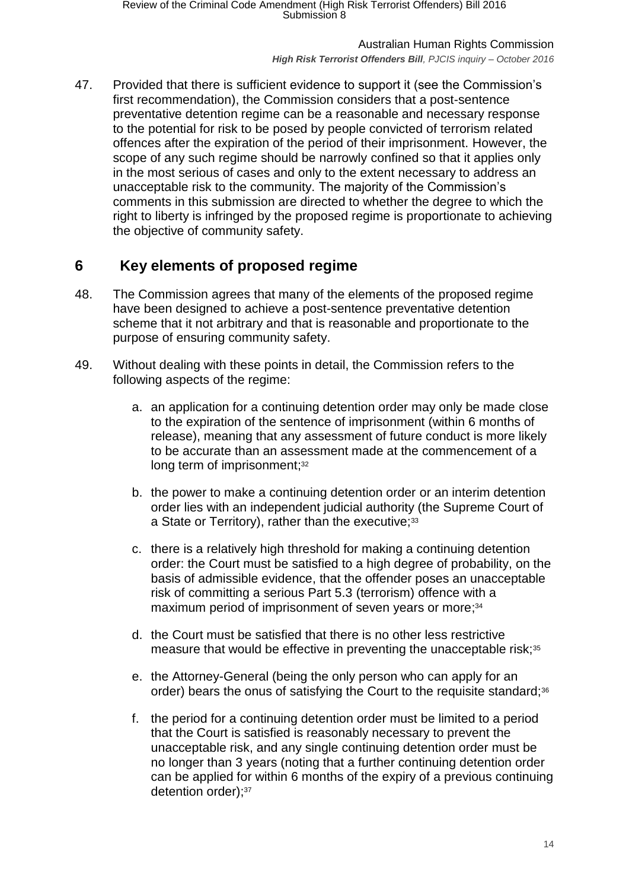*High Risk Terrorist Offenders Bill, PJCIS inquiry – October 2016*

47. Provided that there is sufficient evidence to support it (see the Commission's first recommendation), the Commission considers that a post-sentence preventative detention regime can be a reasonable and necessary response to the potential for risk to be posed by people convicted of terrorism related offences after the expiration of the period of their imprisonment. However, the scope of any such regime should be narrowly confined so that it applies only in the most serious of cases and only to the extent necessary to address an unacceptable risk to the community. The majority of the Commission's comments in this submission are directed to whether the degree to which the right to liberty is infringed by the proposed regime is proportionate to achieving the objective of community safety.

# <span id="page-13-0"></span>**6 Key elements of proposed regime**

- 48. The Commission agrees that many of the elements of the proposed regime have been designed to achieve a post-sentence preventative detention scheme that it not arbitrary and that is reasonable and proportionate to the purpose of ensuring community safety.
- 49. Without dealing with these points in detail, the Commission refers to the following aspects of the regime:
	- a. an application for a continuing detention order may only be made close to the expiration of the sentence of imprisonment (within 6 months of release), meaning that any assessment of future conduct is more likely to be accurate than an assessment made at the commencement of a long term of imprisonment;<sup>32</sup>
	- b. the power to make a continuing detention order or an interim detention order lies with an independent judicial authority (the Supreme Court of a State or Territory), rather than the executive;<sup>33</sup>
	- c. there is a relatively high threshold for making a continuing detention order: the Court must be satisfied to a high degree of probability, on the basis of admissible evidence, that the offender poses an unacceptable risk of committing a serious Part 5.3 (terrorism) offence with a maximum period of imprisonment of seven years or more;<sup>34</sup>
	- d. the Court must be satisfied that there is no other less restrictive measure that would be effective in preventing the unacceptable risk;<sup>35</sup>
	- e. the Attorney-General (being the only person who can apply for an order) bears the onus of satisfying the Court to the requisite standard;<sup>36</sup>
	- f. the period for a continuing detention order must be limited to a period that the Court is satisfied is reasonably necessary to prevent the unacceptable risk, and any single continuing detention order must be no longer than 3 years (noting that a further continuing detention order can be applied for within 6 months of the expiry of a previous continuing detention order); 37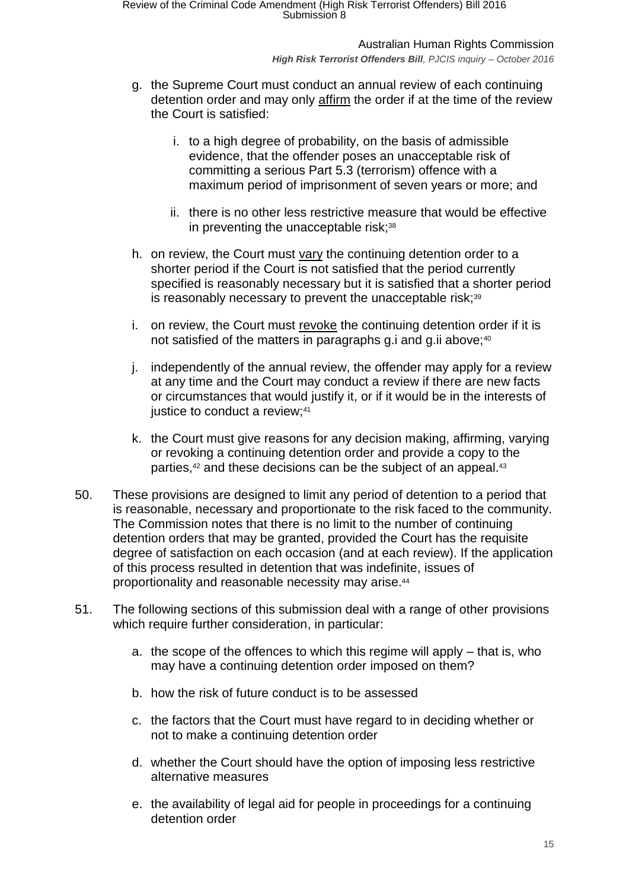Australian Human Rights Commission *High Risk Terrorist Offenders Bill, PJCIS inquiry – October 2016*

- g. the Supreme Court must conduct an annual review of each continuing detention order and may only affirm the order if at the time of the review the Court is satisfied:
	- i. to a high degree of probability, on the basis of admissible evidence, that the offender poses an unacceptable risk of committing a serious Part 5.3 (terrorism) offence with a maximum period of imprisonment of seven years or more; and
	- ii. there is no other less restrictive measure that would be effective in preventing the unacceptable risk;<sup>38</sup>
- h. on review, the Court must vary the continuing detention order to a shorter period if the Court is not satisfied that the period currently specified is reasonably necessary but it is satisfied that a shorter period is reasonably necessary to prevent the unacceptable risk;<sup>39</sup>
- i. on review, the Court must revoke the continuing detention order if it is not satisfied of the matters in paragraphs g.i and g.ii above;<sup>40</sup>
- j. independently of the annual review, the offender may apply for a review at any time and the Court may conduct a review if there are new facts or circumstances that would justify it, or if it would be in the interests of justice to conduct a review; 41
- k. the Court must give reasons for any decision making, affirming, varying or revoking a continuing detention order and provide a copy to the parties,<sup>42</sup> and these decisions can be the subject of an appeal.<sup>43</sup>
- 50. These provisions are designed to limit any period of detention to a period that is reasonable, necessary and proportionate to the risk faced to the community. The Commission notes that there is no limit to the number of continuing detention orders that may be granted, provided the Court has the requisite degree of satisfaction on each occasion (and at each review). If the application of this process resulted in detention that was indefinite, issues of proportionality and reasonable necessity may arise.<sup>44</sup>
- 51. The following sections of this submission deal with a range of other provisions which require further consideration, in particular:
	- a. the scope of the offences to which this regime will apply that is, who may have a continuing detention order imposed on them?
	- b. how the risk of future conduct is to be assessed
	- c. the factors that the Court must have regard to in deciding whether or not to make a continuing detention order
	- d. whether the Court should have the option of imposing less restrictive alternative measures
	- e. the availability of legal aid for people in proceedings for a continuing detention order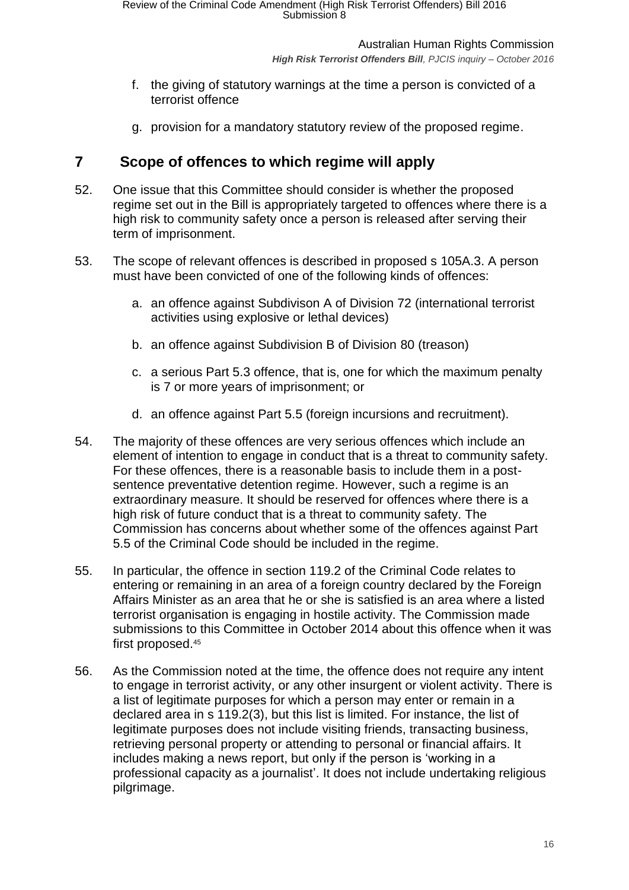Australian Human Rights Commission *High Risk Terrorist Offenders Bill, PJCIS inquiry – October 2016*

- f. the giving of statutory warnings at the time a person is convicted of a terrorist offence
- g. provision for a mandatory statutory review of the proposed regime.

# <span id="page-15-0"></span>**7 Scope of offences to which regime will apply**

- 52. One issue that this Committee should consider is whether the proposed regime set out in the Bill is appropriately targeted to offences where there is a high risk to community safety once a person is released after serving their term of imprisonment.
- 53. The scope of relevant offences is described in proposed s 105A.3. A person must have been convicted of one of the following kinds of offences:
	- a. an offence against Subdivison A of Division 72 (international terrorist activities using explosive or lethal devices)
	- b. an offence against Subdivision B of Division 80 (treason)
	- c. a serious Part 5.3 offence, that is, one for which the maximum penalty is 7 or more years of imprisonment; or
	- d. an offence against Part 5.5 (foreign incursions and recruitment).
- 54. The majority of these offences are very serious offences which include an element of intention to engage in conduct that is a threat to community safety. For these offences, there is a reasonable basis to include them in a postsentence preventative detention regime. However, such a regime is an extraordinary measure. It should be reserved for offences where there is a high risk of future conduct that is a threat to community safety. The Commission has concerns about whether some of the offences against Part 5.5 of the Criminal Code should be included in the regime.
- 55. In particular, the offence in section 119.2 of the Criminal Code relates to entering or remaining in an area of a foreign country declared by the Foreign Affairs Minister as an area that he or she is satisfied is an area where a listed terrorist organisation is engaging in hostile activity. The Commission made submissions to this Committee in October 2014 about this offence when it was first proposed.<sup>45</sup>
- 56. As the Commission noted at the time, the offence does not require any intent to engage in terrorist activity, or any other insurgent or violent activity. There is a list of legitimate purposes for which a person may enter or remain in a declared area in s 119.2(3), but this list is limited. For instance, the list of legitimate purposes does not include visiting friends, transacting business, retrieving personal property or attending to personal or financial affairs. It includes making a news report, but only if the person is 'working in a professional capacity as a journalist'. It does not include undertaking religious pilgrimage.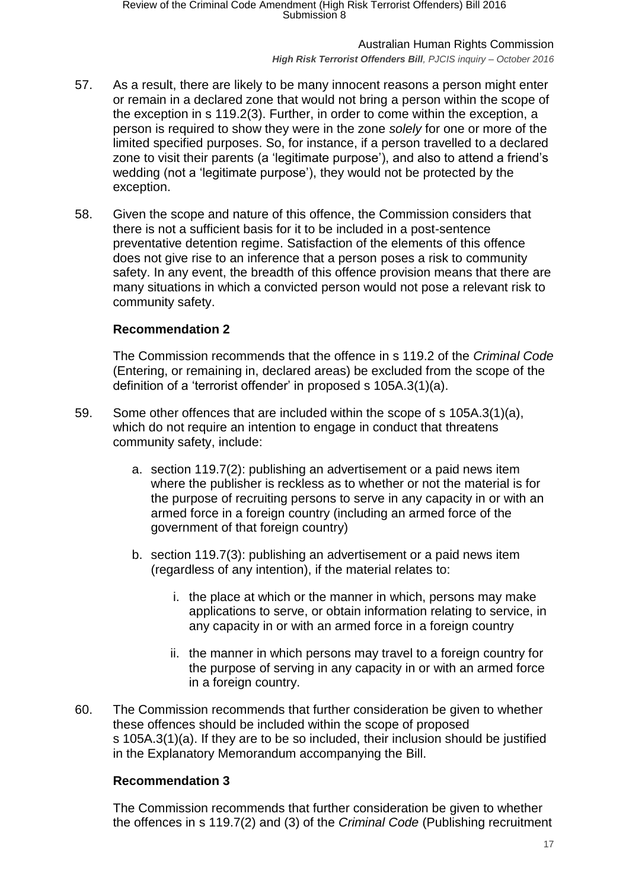*High Risk Terrorist Offenders Bill, PJCIS inquiry – October 2016*

- 57. As a result, there are likely to be many innocent reasons a person might enter or remain in a declared zone that would not bring a person within the scope of the exception in s 119.2(3). Further, in order to come within the exception, a person is required to show they were in the zone *solely* for one or more of the limited specified purposes. So, for instance, if a person travelled to a declared zone to visit their parents (a 'legitimate purpose'), and also to attend a friend's wedding (not a 'legitimate purpose'), they would not be protected by the exception.
- 58. Given the scope and nature of this offence, the Commission considers that there is not a sufficient basis for it to be included in a post-sentence preventative detention regime. Satisfaction of the elements of this offence does not give rise to an inference that a person poses a risk to community safety. In any event, the breadth of this offence provision means that there are many situations in which a convicted person would not pose a relevant risk to community safety.

# **Recommendation 2**

The Commission recommends that the offence in s 119.2 of the *Criminal Code* (Entering, or remaining in, declared areas) be excluded from the scope of the definition of a 'terrorist offender' in proposed s 105A.3(1)(a).

- 59. Some other offences that are included within the scope of s 105A.3(1)(a), which do not require an intention to engage in conduct that threatens community safety, include:
	- a. section 119.7(2): publishing an advertisement or a paid news item where the publisher is reckless as to whether or not the material is for the purpose of recruiting persons to serve in any capacity in or with an armed force in a foreign country (including an armed force of the government of that foreign country)
	- b. section 119.7(3): publishing an advertisement or a paid news item (regardless of any intention), if the material relates to:
		- i. the place at which or the manner in which, persons may make applications to serve, or obtain information relating to service, in any capacity in or with an armed force in a foreign country
		- ii. the manner in which persons may travel to a foreign country for the purpose of serving in any capacity in or with an armed force in a foreign country.
- 60. The Commission recommends that further consideration be given to whether these offences should be included within the scope of proposed s 105A.3(1)(a). If they are to be so included, their inclusion should be justified in the Explanatory Memorandum accompanying the Bill.

### **Recommendation 3**

The Commission recommends that further consideration be given to whether the offences in s 119.7(2) and (3) of the *Criminal Code* (Publishing recruitment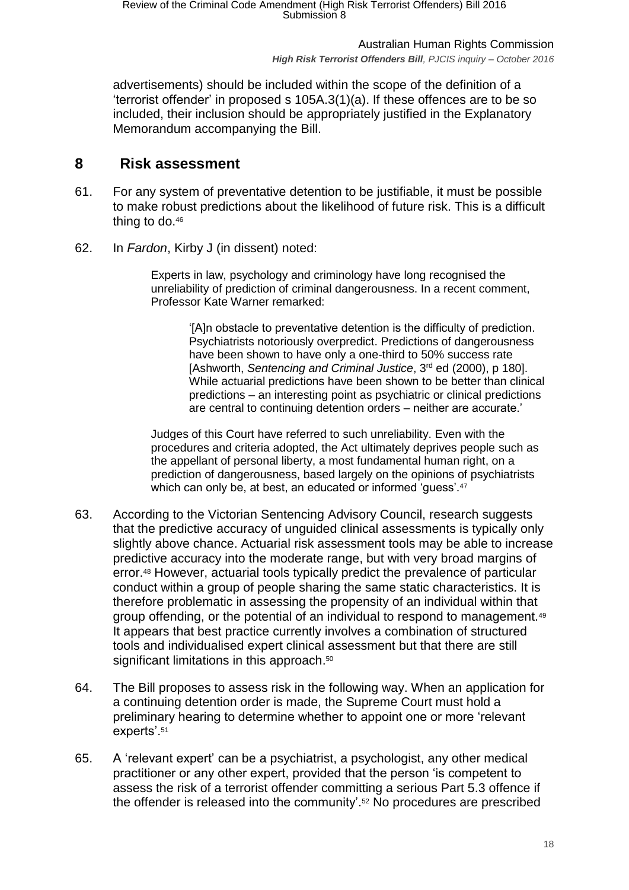advertisements) should be included within the scope of the definition of a 'terrorist offender' in proposed s 105A.3(1)(a). If these offences are to be so included, their inclusion should be appropriately justified in the Explanatory Memorandum accompanying the Bill.

# <span id="page-17-0"></span>**8 Risk assessment**

- 61. For any system of preventative detention to be justifiable, it must be possible to make robust predictions about the likelihood of future risk. This is a difficult thing to do.<sup>46</sup>
- 62. In *Fardon*, Kirby J (in dissent) noted:

Experts in law, psychology and criminology have long recognised the unreliability of prediction of criminal dangerousness. In a recent comment, Professor Kate Warner remarked:

'[A]n obstacle to preventative detention is the difficulty of prediction. Psychiatrists notoriously overpredict. Predictions of dangerousness have been shown to have only a one-third to 50% success rate [Ashworth, *Sentencing and Criminal Justice*, 3rd ed (2000), p 180]. While actuarial predictions have been shown to be better than clinical predictions – an interesting point as psychiatric or clinical predictions are central to continuing detention orders – neither are accurate.'

Judges of this Court have referred to such unreliability. Even with the procedures and criteria adopted, the Act ultimately deprives people such as the appellant of personal liberty, a most fundamental human right, on a prediction of dangerousness, based largely on the opinions of psychiatrists which can only be, at best, an educated or informed 'guess'.<sup>47</sup>

- 63. According to the Victorian Sentencing Advisory Council, research suggests that the predictive accuracy of unguided clinical assessments is typically only slightly above chance. Actuarial risk assessment tools may be able to increase predictive accuracy into the moderate range, but with very broad margins of error.<sup>48</sup> However, actuarial tools typically predict the prevalence of particular conduct within a group of people sharing the same static characteristics. It is therefore problematic in assessing the propensity of an individual within that group offending, or the potential of an individual to respond to management.<sup>49</sup> It appears that best practice currently involves a combination of structured tools and individualised expert clinical assessment but that there are still significant limitations in this approach.<sup>50</sup>
- 64. The Bill proposes to assess risk in the following way. When an application for a continuing detention order is made, the Supreme Court must hold a preliminary hearing to determine whether to appoint one or more 'relevant experts'.<sup>51</sup>
- 65. A 'relevant expert' can be a psychiatrist, a psychologist, any other medical practitioner or any other expert, provided that the person 'is competent to assess the risk of a terrorist offender committing a serious Part 5.3 offence if the offender is released into the community'.<sup>52</sup> No procedures are prescribed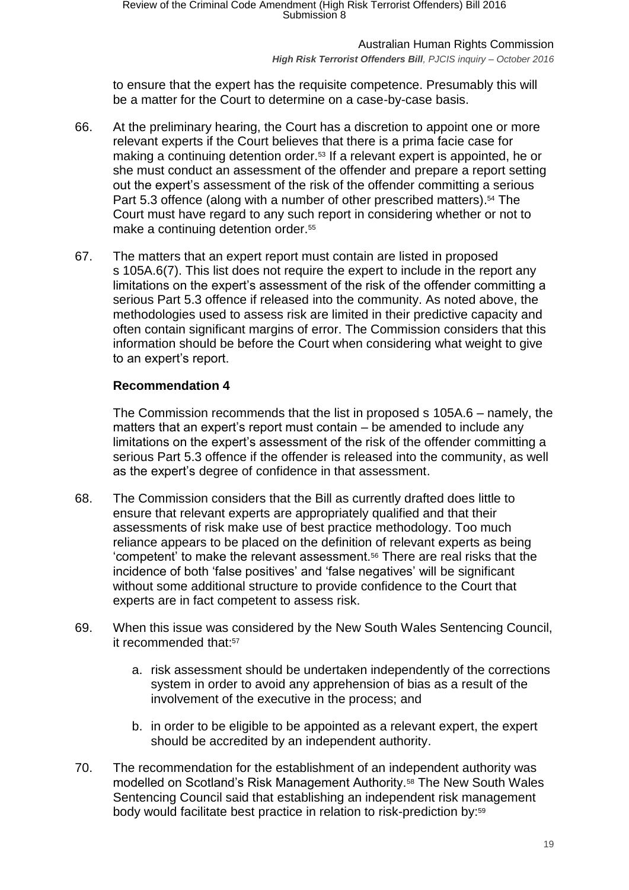#### *High Risk Terrorist Offenders Bill, PJCIS inquiry – October 2016*

to ensure that the expert has the requisite competence. Presumably this will be a matter for the Court to determine on a case-by-case basis.

- 66. At the preliminary hearing, the Court has a discretion to appoint one or more relevant experts if the Court believes that there is a prima facie case for making a continuing detention order.<sup>53</sup> If a relevant expert is appointed, he or she must conduct an assessment of the offender and prepare a report setting out the expert's assessment of the risk of the offender committing a serious Part 5.3 offence (along with a number of other prescribed matters). <sup>54</sup> The Court must have regard to any such report in considering whether or not to make a continuing detention order.<sup>55</sup>
- 67. The matters that an expert report must contain are listed in proposed s 105A.6(7). This list does not require the expert to include in the report any limitations on the expert's assessment of the risk of the offender committing a serious Part 5.3 offence if released into the community. As noted above, the methodologies used to assess risk are limited in their predictive capacity and often contain significant margins of error. The Commission considers that this information should be before the Court when considering what weight to give to an expert's report.

## **Recommendation 4**

The Commission recommends that the list in proposed s 105A.6 – namely, the matters that an expert's report must contain – be amended to include any limitations on the expert's assessment of the risk of the offender committing a serious Part 5.3 offence if the offender is released into the community, as well as the expert's degree of confidence in that assessment.

- 68. The Commission considers that the Bill as currently drafted does little to ensure that relevant experts are appropriately qualified and that their assessments of risk make use of best practice methodology. Too much reliance appears to be placed on the definition of relevant experts as being 'competent' to make the relevant assessment.<sup>56</sup> There are real risks that the incidence of both 'false positives' and 'false negatives' will be significant without some additional structure to provide confidence to the Court that experts are in fact competent to assess risk.
- 69. When this issue was considered by the New South Wales Sentencing Council, it recommended that:<sup>57</sup>
	- a. risk assessment should be undertaken independently of the corrections system in order to avoid any apprehension of bias as a result of the involvement of the executive in the process; and
	- b. in order to be eligible to be appointed as a relevant expert, the expert should be accredited by an independent authority.
- 70. The recommendation for the establishment of an independent authority was modelled on Scotland's Risk Management Authority.<sup>58</sup> The New South Wales Sentencing Council said that establishing an independent risk management body would facilitate best practice in relation to risk-prediction by:<sup>59</sup>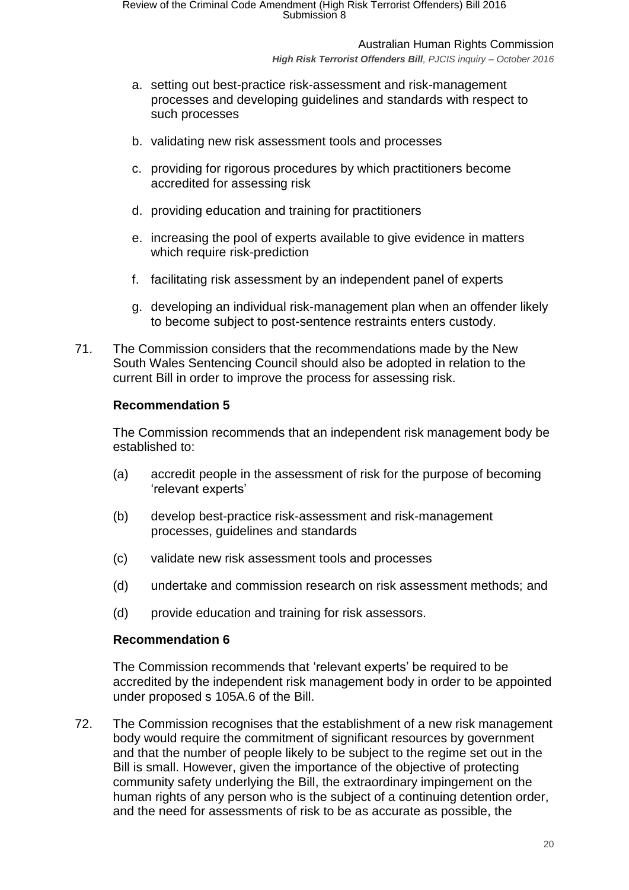Australian Human Rights Commission

*High Risk Terrorist Offenders Bill, PJCIS inquiry – October 2016*

- a. setting out best-practice risk-assessment and risk-management processes and developing guidelines and standards with respect to such processes
- b. validating new risk assessment tools and processes
- c. providing for rigorous procedures by which practitioners become accredited for assessing risk
- d. providing education and training for practitioners
- e. increasing the pool of experts available to give evidence in matters which require risk-prediction
- f. facilitating risk assessment by an independent panel of experts
- g. developing an individual risk-management plan when an offender likely to become subject to post-sentence restraints enters custody.
- 71. The Commission considers that the recommendations made by the New South Wales Sentencing Council should also be adopted in relation to the current Bill in order to improve the process for assessing risk.

#### **Recommendation 5**

The Commission recommends that an independent risk management body be established to:

- (a) accredit people in the assessment of risk for the purpose of becoming 'relevant experts'
- (b) develop best-practice risk-assessment and risk-management processes, guidelines and standards
- (c) validate new risk assessment tools and processes
- (d) undertake and commission research on risk assessment methods; and
- (d) provide education and training for risk assessors.

#### **Recommendation 6**

The Commission recommends that 'relevant experts' be required to be accredited by the independent risk management body in order to be appointed under proposed s 105A.6 of the Bill.

72. The Commission recognises that the establishment of a new risk management body would require the commitment of significant resources by government and that the number of people likely to be subject to the regime set out in the Bill is small. However, given the importance of the objective of protecting community safety underlying the Bill, the extraordinary impingement on the human rights of any person who is the subject of a continuing detention order, and the need for assessments of risk to be as accurate as possible, the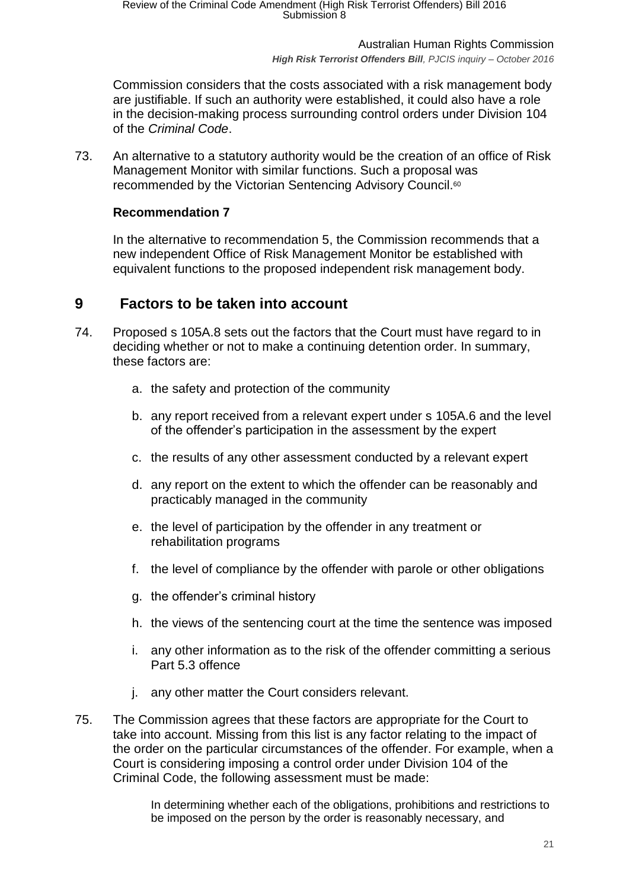Australian Human Rights Commission *High Risk Terrorist Offenders Bill, PJCIS inquiry – October 2016*

Commission considers that the costs associated with a risk management body are justifiable. If such an authority were established, it could also have a role in the decision-making process surrounding control orders under Division 104 of the *Criminal Code*.

73. An alternative to a statutory authority would be the creation of an office of Risk Management Monitor with similar functions. Such a proposal was recommended by the Victorian Sentencing Advisory Council.<sup>60</sup>

### **Recommendation 7**

In the alternative to recommendation 5, the Commission recommends that a new independent Office of Risk Management Monitor be established with equivalent functions to the proposed independent risk management body.

# <span id="page-20-0"></span>**9 Factors to be taken into account**

- 74. Proposed s 105A.8 sets out the factors that the Court must have regard to in deciding whether or not to make a continuing detention order. In summary, these factors are:
	- a. the safety and protection of the community
	- b. any report received from a relevant expert under s 105A.6 and the level of the offender's participation in the assessment by the expert
	- c. the results of any other assessment conducted by a relevant expert
	- d. any report on the extent to which the offender can be reasonably and practicably managed in the community
	- e. the level of participation by the offender in any treatment or rehabilitation programs
	- f. the level of compliance by the offender with parole or other obligations
	- g. the offender's criminal history
	- h. the views of the sentencing court at the time the sentence was imposed
	- i. any other information as to the risk of the offender committing a serious Part 5.3 offence
	- j. any other matter the Court considers relevant.
- 75. The Commission agrees that these factors are appropriate for the Court to take into account. Missing from this list is any factor relating to the impact of the order on the particular circumstances of the offender. For example, when a Court is considering imposing a control order under Division 104 of the Criminal Code, the following assessment must be made:

In determining whether each of the obligations, prohibitions and restrictions to be imposed on the person by the order is reasonably necessary, and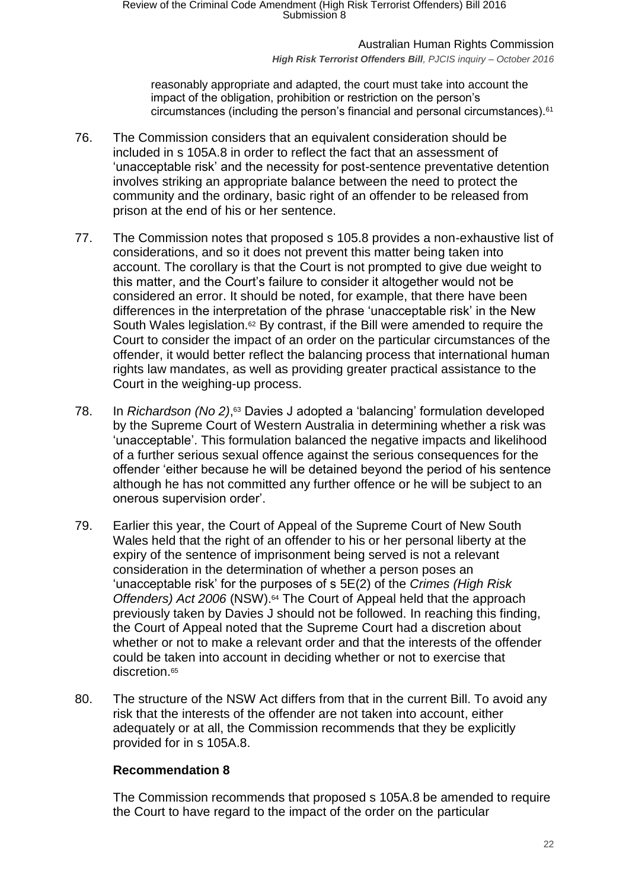#### *High Risk Terrorist Offenders Bill, PJCIS inquiry – October 2016*

reasonably appropriate and adapted, the court must take into account the impact of the obligation, prohibition or restriction on the person's circumstances (including the person's financial and personal circumstances).<sup>61</sup>

- 76. The Commission considers that an equivalent consideration should be included in s 105A.8 in order to reflect the fact that an assessment of 'unacceptable risk' and the necessity for post-sentence preventative detention involves striking an appropriate balance between the need to protect the community and the ordinary, basic right of an offender to be released from prison at the end of his or her sentence.
- 77. The Commission notes that proposed s 105.8 provides a non-exhaustive list of considerations, and so it does not prevent this matter being taken into account. The corollary is that the Court is not prompted to give due weight to this matter, and the Court's failure to consider it altogether would not be considered an error. It should be noted, for example, that there have been differences in the interpretation of the phrase 'unacceptable risk' in the New South Wales legislation.<sup>62</sup> By contrast, if the Bill were amended to require the Court to consider the impact of an order on the particular circumstances of the offender, it would better reflect the balancing process that international human rights law mandates, as well as providing greater practical assistance to the Court in the weighing-up process.
- 78. In *Richardson (No 2)*, <sup>63</sup> Davies J adopted a 'balancing' formulation developed by the Supreme Court of Western Australia in determining whether a risk was 'unacceptable'. This formulation balanced the negative impacts and likelihood of a further serious sexual offence against the serious consequences for the offender 'either because he will be detained beyond the period of his sentence although he has not committed any further offence or he will be subject to an onerous supervision order'.
- 79. Earlier this year, the Court of Appeal of the Supreme Court of New South Wales held that the right of an offender to his or her personal liberty at the expiry of the sentence of imprisonment being served is not a relevant consideration in the determination of whether a person poses an 'unacceptable risk' for the purposes of s 5E(2) of the *Crimes (High Risk Offenders) Act 2006* (NSW). <sup>64</sup> The Court of Appeal held that the approach previously taken by Davies J should not be followed. In reaching this finding, the Court of Appeal noted that the Supreme Court had a discretion about whether or not to make a relevant order and that the interests of the offender could be taken into account in deciding whether or not to exercise that discretion.<sup>65</sup>
- 80. The structure of the NSW Act differs from that in the current Bill. To avoid any risk that the interests of the offender are not taken into account, either adequately or at all, the Commission recommends that they be explicitly provided for in s 105A.8.

### **Recommendation 8**

The Commission recommends that proposed s 105A.8 be amended to require the Court to have regard to the impact of the order on the particular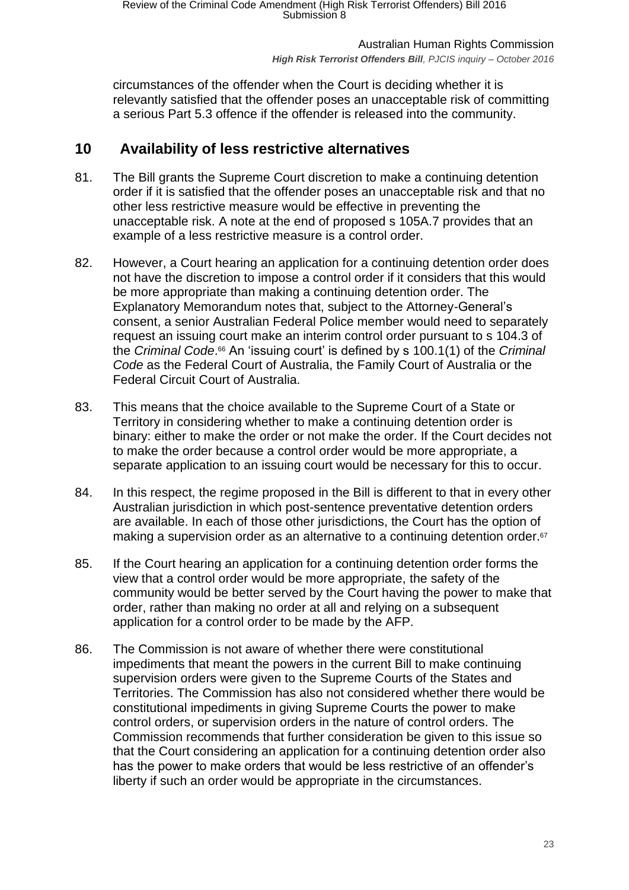circumstances of the offender when the Court is deciding whether it is relevantly satisfied that the offender poses an unacceptable risk of committing a serious Part 5.3 offence if the offender is released into the community.

# <span id="page-22-0"></span>**10 Availability of less restrictive alternatives**

- 81. The Bill grants the Supreme Court discretion to make a continuing detention order if it is satisfied that the offender poses an unacceptable risk and that no other less restrictive measure would be effective in preventing the unacceptable risk. A note at the end of proposed s 105A.7 provides that an example of a less restrictive measure is a control order.
- 82. However, a Court hearing an application for a continuing detention order does not have the discretion to impose a control order if it considers that this would be more appropriate than making a continuing detention order. The Explanatory Memorandum notes that, subject to the Attorney-General's consent, a senior Australian Federal Police member would need to separately request an issuing court make an interim control order pursuant to s 104.3 of the *Criminal Code*. <sup>66</sup> An 'issuing court' is defined by s 100.1(1) of the *Criminal Code* as the Federal Court of Australia, the Family Court of Australia or the Federal Circuit Court of Australia.
- 83. This means that the choice available to the Supreme Court of a State or Territory in considering whether to make a continuing detention order is binary: either to make the order or not make the order. If the Court decides not to make the order because a control order would be more appropriate, a separate application to an issuing court would be necessary for this to occur.
- 84. In this respect, the regime proposed in the Bill is different to that in every other Australian jurisdiction in which post-sentence preventative detention orders are available. In each of those other jurisdictions, the Court has the option of making a supervision order as an alternative to a continuing detention order.<sup>67</sup>
- 85. If the Court hearing an application for a continuing detention order forms the view that a control order would be more appropriate, the safety of the community would be better served by the Court having the power to make that order, rather than making no order at all and relying on a subsequent application for a control order to be made by the AFP.
- 86. The Commission is not aware of whether there were constitutional impediments that meant the powers in the current Bill to make continuing supervision orders were given to the Supreme Courts of the States and Territories. The Commission has also not considered whether there would be constitutional impediments in giving Supreme Courts the power to make control orders, or supervision orders in the nature of control orders. The Commission recommends that further consideration be given to this issue so that the Court considering an application for a continuing detention order also has the power to make orders that would be less restrictive of an offender's liberty if such an order would be appropriate in the circumstances.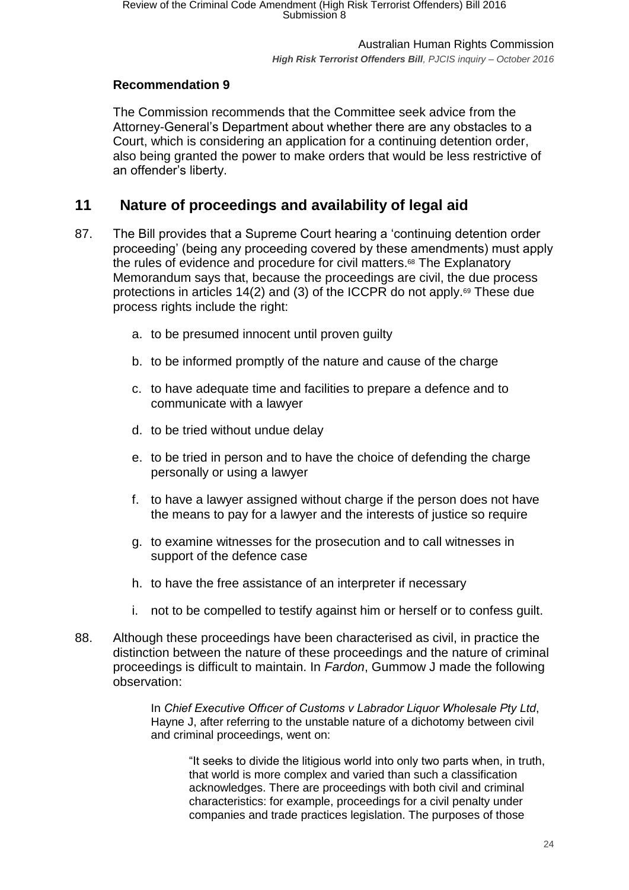# **Recommendation 9**

The Commission recommends that the Committee seek advice from the Attorney-General's Department about whether there are any obstacles to a Court, which is considering an application for a continuing detention order, also being granted the power to make orders that would be less restrictive of an offender's liberty.

# <span id="page-23-0"></span>**11 Nature of proceedings and availability of legal aid**

- 87. The Bill provides that a Supreme Court hearing a 'continuing detention order proceeding' (being any proceeding covered by these amendments) must apply the rules of evidence and procedure for civil matters.<sup>68</sup> The Explanatory Memorandum says that, because the proceedings are civil, the due process protections in articles 14(2) and (3) of the ICCPR do not apply.<sup>69</sup> These due process rights include the right:
	- a. to be presumed innocent until proven guilty
	- b. to be informed promptly of the nature and cause of the charge
	- c. to have adequate time and facilities to prepare a defence and to communicate with a lawyer
	- d. to be tried without undue delay
	- e. to be tried in person and to have the choice of defending the charge personally or using a lawyer
	- f. to have a lawyer assigned without charge if the person does not have the means to pay for a lawyer and the interests of justice so require
	- g. to examine witnesses for the prosecution and to call witnesses in support of the defence case
	- h. to have the free assistance of an interpreter if necessary
	- i. not to be compelled to testify against him or herself or to confess guilt.
- 88. Although these proceedings have been characterised as civil, in practice the distinction between the nature of these proceedings and the nature of criminal proceedings is difficult to maintain. In *Fardon*, Gummow J made the following observation:

In *Chief Executive Offıcer of Customs v Labrador Liquor Wholesale Pty Ltd*, Hayne J, after referring to the unstable nature of a dichotomy between civil and criminal proceedings, went on:

"It seeks to divide the litigious world into only two parts when, in truth, that world is more complex and varied than such a classification acknowledges. There are proceedings with both civil and criminal characteristics: for example, proceedings for a civil penalty under companies and trade practices legislation. The purposes of those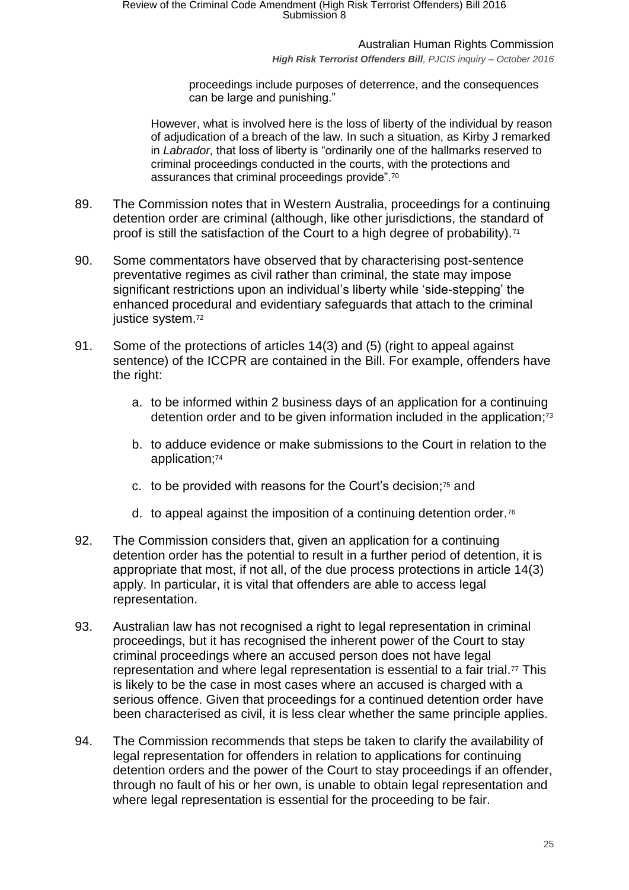Australian Human Rights Commission

*High Risk Terrorist Offenders Bill, PJCIS inquiry – October 2016*

proceedings include purposes of deterrence, and the consequences can be large and punishing."

However, what is involved here is the loss of liberty of the individual by reason of adjudication of a breach of the law. In such a situation, as Kirby J remarked in *Labrador*, that loss of liberty is "ordinarily one of the hallmarks reserved to criminal proceedings conducted in the courts, with the protections and assurances that criminal proceedings provide".<sup>70</sup>

- 89. The Commission notes that in Western Australia, proceedings for a continuing detention order are criminal (although, like other jurisdictions, the standard of proof is still the satisfaction of the Court to a high degree of probability).<sup>71</sup>
- 90. Some commentators have observed that by characterising post-sentence preventative regimes as civil rather than criminal, the state may impose significant restrictions upon an individual's liberty while 'side-stepping' the enhanced procedural and evidentiary safeguards that attach to the criminal justice system.<sup>72</sup>
- 91. Some of the protections of articles 14(3) and (5) (right to appeal against sentence) of the ICCPR are contained in the Bill. For example, offenders have the right:
	- a. to be informed within 2 business days of an application for a continuing detention order and to be given information included in the application;<sup>73</sup>
	- b. to adduce evidence or make submissions to the Court in relation to the application;<sup>74</sup>
	- c. to be provided with reasons for the Court's decision;<sup>75</sup> and
	- d. to appeal against the imposition of a continuing detention order.<sup>76</sup>
- 92. The Commission considers that, given an application for a continuing detention order has the potential to result in a further period of detention, it is appropriate that most, if not all, of the due process protections in article 14(3) apply. In particular, it is vital that offenders are able to access legal representation.
- 93. Australian law has not recognised a right to legal representation in criminal proceedings, but it has recognised the inherent power of the Court to stay criminal proceedings where an accused person does not have legal representation and where legal representation is essential to a fair trial. $\overline{7}$  This is likely to be the case in most cases where an accused is charged with a serious offence. Given that proceedings for a continued detention order have been characterised as civil, it is less clear whether the same principle applies.
- 94. The Commission recommends that steps be taken to clarify the availability of legal representation for offenders in relation to applications for continuing detention orders and the power of the Court to stay proceedings if an offender, through no fault of his or her own, is unable to obtain legal representation and where legal representation is essential for the proceeding to be fair.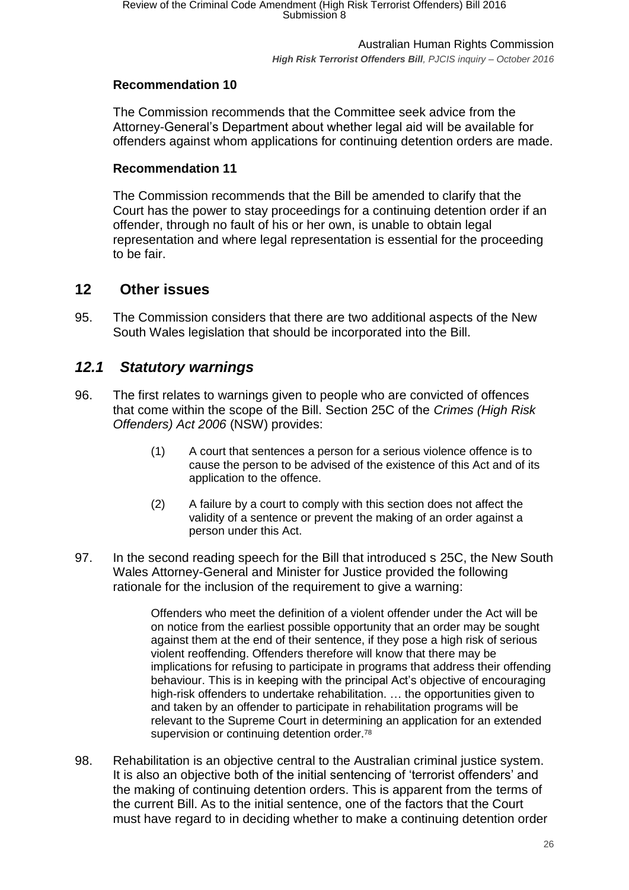# **Recommendation 10**

The Commission recommends that the Committee seek advice from the Attorney-General's Department about whether legal aid will be available for offenders against whom applications for continuing detention orders are made.

## **Recommendation 11**

The Commission recommends that the Bill be amended to clarify that the Court has the power to stay proceedings for a continuing detention order if an offender, through no fault of his or her own, is unable to obtain legal representation and where legal representation is essential for the proceeding to be fair.

# <span id="page-25-0"></span>**12 Other issues**

95. The Commission considers that there are two additional aspects of the New South Wales legislation that should be incorporated into the Bill.

# <span id="page-25-1"></span>*12.1 Statutory warnings*

- 96. The first relates to warnings given to people who are convicted of offences that come within the scope of the Bill. Section 25C of the *Crimes (High Risk Offenders) Act 2006* (NSW) provides:
	- (1) A court that sentences a person for a serious violence offence is to cause the person to be advised of the existence of this Act and of its application to the offence.
	- (2) A failure by a court to comply with this section does not affect the validity of a sentence or prevent the making of an order against a person under this Act.
- 97. In the second reading speech for the Bill that introduced s 25C, the New South Wales Attorney-General and Minister for Justice provided the following rationale for the inclusion of the requirement to give a warning:

Offenders who meet the definition of a violent offender under the Act will be on notice from the earliest possible opportunity that an order may be sought against them at the end of their sentence, if they pose a high risk of serious violent reoffending. Offenders therefore will know that there may be implications for refusing to participate in programs that address their offending behaviour. This is in keeping with the principal Act's objective of encouraging high-risk offenders to undertake rehabilitation. ... the opportunities given to and taken by an offender to participate in rehabilitation programs will be relevant to the Supreme Court in determining an application for an extended supervision or continuing detention order.<sup>78</sup>

98. Rehabilitation is an objective central to the Australian criminal justice system. It is also an objective both of the initial sentencing of 'terrorist offenders' and the making of continuing detention orders. This is apparent from the terms of the current Bill. As to the initial sentence, one of the factors that the Court must have regard to in deciding whether to make a continuing detention order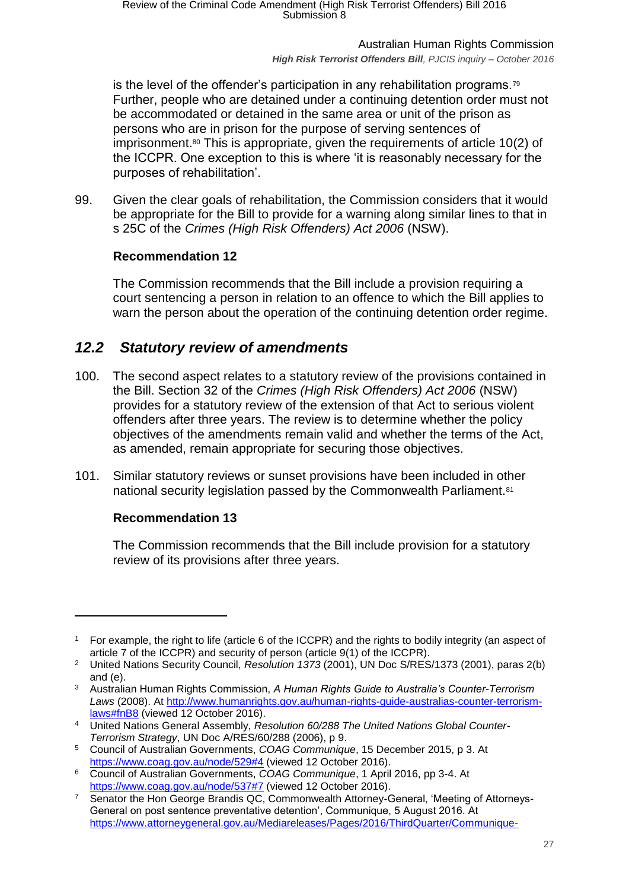*High Risk Terrorist Offenders Bill, PJCIS inquiry – October 2016*

is the level of the offender's participation in any rehabilitation programs.<sup>79</sup> Further, people who are detained under a continuing detention order must not be accommodated or detained in the same area or unit of the prison as persons who are in prison for the purpose of serving sentences of imprisonment.<sup>80</sup> This is appropriate, given the requirements of article 10(2) of the ICCPR. One exception to this is where 'it is reasonably necessary for the purposes of rehabilitation'.

99. Given the clear goals of rehabilitation, the Commission considers that it would be appropriate for the Bill to provide for a warning along similar lines to that in s 25C of the *Crimes (High Risk Offenders) Act 2006* (NSW).

# **Recommendation 12**

The Commission recommends that the Bill include a provision requiring a court sentencing a person in relation to an offence to which the Bill applies to warn the person about the operation of the continuing detention order regime.

# <span id="page-26-0"></span>*12.2 Statutory review of amendments*

- 100. The second aspect relates to a statutory review of the provisions contained in the Bill. Section 32 of the *Crimes (High Risk Offenders) Act 2006* (NSW) provides for a statutory review of the extension of that Act to serious violent offenders after three years. The review is to determine whether the policy objectives of the amendments remain valid and whether the terms of the Act, as amended, remain appropriate for securing those objectives.
- 101. Similar statutory reviews or sunset provisions have been included in other national security legislation passed by the Commonwealth Parliament.<sup>81</sup>

# **Recommendation 13**

 $\overline{a}$ 

The Commission recommends that the Bill include provision for a statutory review of its provisions after three years.

<sup>1</sup> For example, the right to life (article 6 of the ICCPR) and the rights to bodily integrity (an aspect of article 7 of the ICCPR) and security of person (article 9(1) of the ICCPR).

<sup>2</sup> United Nations Security Council, *Resolution 1373* (2001), UN Doc S/RES/1373 (2001), paras 2(b) and (e).

<sup>3</sup> Australian Human Rights Commission, *A Human Rights Guide to Australia's Counter-Terrorism Laws* (2008). At [http://www.humanrights.gov.au/human-rights-guide-australias-counter-terrorism](http://www.humanrights.gov.au/human-rights-guide-australias-counter-terrorism-laws#fnB8)[laws#fnB8](http://www.humanrights.gov.au/human-rights-guide-australias-counter-terrorism-laws#fnB8) (viewed 12 October 2016).

<sup>4</sup> United Nations General Assembly, *Resolution 60/288 The United Nations Global Counter-Terrorism Strategy*, UN Doc A/RES/60/288 (2006), p 9.

<sup>5</sup> Council of Australian Governments, *COAG Communique*, 15 December 2015, p 3. At <https://www.coag.gov.au/node/529#4> (viewed 12 October 2016).

<sup>6</sup> Council of Australian Governments, *COAG Communique*, 1 April 2016, pp 3-4. At <https://www.coag.gov.au/node/537#7> (viewed 12 October 2016).

<sup>&</sup>lt;sup>7</sup> Senator the Hon George Brandis QC, Commonwealth Attorney-General, 'Meeting of Attorneys-General on post sentence preventative detention', Communique, 5 August 2016. At [https://www.attorneygeneral.gov.au/Mediareleases/Pages/2016/ThirdQuarter/Communique-](https://www.attorneygeneral.gov.au/Mediareleases/Pages/2016/ThirdQuarter/Communique-Meeting-of-Attorneys-General-on-post-sentence-preventative-detention.aspx)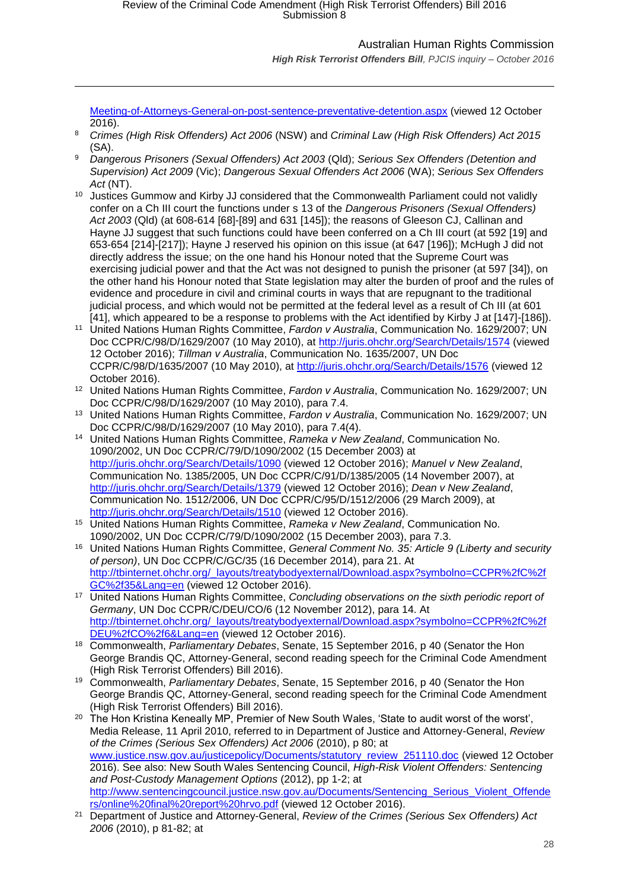*High Risk Terrorist Offenders Bill, PJCIS inquiry – October 2016*

[Meeting-of-Attorneys-General-on-post-sentence-preventative-detention.aspx](https://www.attorneygeneral.gov.au/Mediareleases/Pages/2016/ThirdQuarter/Communique-Meeting-of-Attorneys-General-on-post-sentence-preventative-detention.aspx) (viewed 12 October 2016).

<sup>8</sup> *Crimes (High Risk Offenders) Act 2006* (NSW) and *Criminal Law (High Risk Offenders) Act 2015* (SA).

 $\overline{a}$ 

- <sup>9</sup> *Dangerous Prisoners (Sexual Offenders) Act 2003* (Qld); *Serious Sex Offenders (Detention and Supervision) Act 2009* (Vic); *Dangerous Sexual Offenders Act 2006* (WA); *Serious Sex Offenders Act* (NT).
- <sup>10</sup> Justices Gummow and Kirby JJ considered that the Commonwealth Parliament could not validly confer on a Ch III court the functions under s 13 of the *Dangerous Prisoners (Sexual Offenders) Act 2003* (Qld) (at 608-614 [68]-[89] and 631 [145]); the reasons of Gleeson CJ, Callinan and Hayne JJ suggest that such functions could have been conferred on a Ch III court (at 592 [19] and 653-654 [214]-[217]); Hayne J reserved his opinion on this issue (at 647 [196]); McHugh J did not directly address the issue; on the one hand his Honour noted that the Supreme Court was exercising judicial power and that the Act was not designed to punish the prisoner (at 597 [34]), on the other hand his Honour noted that State legislation may alter the burden of proof and the rules of evidence and procedure in civil and criminal courts in ways that are repugnant to the traditional judicial process, and which would not be permitted at the federal level as a result of Ch III (at 601 [41], which appeared to be a response to problems with the Act identified by Kirby J at [147]-[186]).
- <sup>11</sup> United Nations Human Rights Committee, *Fardon v Australia*, Communication No. 1629/2007; UN Doc CCPR/C/98/D/1629/2007 (10 May 2010), at<http://juris.ohchr.org/Search/Details/1574> (viewed 12 October 2016); *Tillman v Australia*, Communication No. 1635/2007, UN Doc CCPR/C/98/D/1635/2007 (10 May 2010), at<http://juris.ohchr.org/Search/Details/1576> (viewed 12 October 2016).
- <sup>12</sup> United Nations Human Rights Committee, *Fardon v Australia*, Communication No. 1629/2007; UN Doc CCPR/C/98/D/1629/2007 (10 May 2010), para 7.4.
- <sup>13</sup> United Nations Human Rights Committee, *Fardon v Australia*, Communication No. 1629/2007; UN Doc CCPR/C/98/D/1629/2007 (10 May 2010), para 7.4(4).
- <sup>14</sup> United Nations Human Rights Committee, *Rameka v New Zealand*, Communication No. 1090/2002, UN Doc CCPR/C/79/D/1090/2002 (15 December 2003) at <http://juris.ohchr.org/Search/Details/1090> (viewed 12 October 2016); *Manuel v New Zealand*, Communication No. 1385/2005, UN Doc CCPR/C/91/D/1385/2005 (14 November 2007), at <http://juris.ohchr.org/Search/Details/1379> (viewed 12 October 2016); *Dean v New Zealand*, Communication No. 1512/2006, UN Doc CCPR/C/95/D/1512/2006 (29 March 2009), at <http://juris.ohchr.org/Search/Details/1510> (viewed 12 October 2016).
- <sup>15</sup> United Nations Human Rights Committee, *Rameka v New Zealand*, Communication No. 1090/2002, UN Doc CCPR/C/79/D/1090/2002 (15 December 2003), para 7.3.
- <sup>16</sup> United Nations Human Rights Committee, *General Comment No. 35: Article 9 (Liberty and security of person)*, UN Doc CCPR/C/GC/35 (16 December 2014), para 21. At [http://tbinternet.ohchr.org/\\_layouts/treatybodyexternal/Download.aspx?symbolno=CCPR%2fC%2f](http://tbinternet.ohchr.org/_layouts/treatybodyexternal/Download.aspx?symbolno=CCPR%2fC%2fGC%2f35&Lang=en) [GC%2f35&Lang=en](http://tbinternet.ohchr.org/_layouts/treatybodyexternal/Download.aspx?symbolno=CCPR%2fC%2fGC%2f35&Lang=en) (viewed 12 October 2016).
- <sup>17</sup> United Nations Human Rights Committee, *Concluding observations on the sixth periodic report of Germany*, UN Doc CCPR/C/DEU/CO/6 (12 November 2012), para 14. At [http://tbinternet.ohchr.org/\\_layouts/treatybodyexternal/Download.aspx?symbolno=CCPR%2fC%2f](http://tbinternet.ohchr.org/_layouts/treatybodyexternal/Download.aspx?symbolno=CCPR%2fC%2fDEU%2fCO%2f6&Lang=en) [DEU%2fCO%2f6&Lang=en](http://tbinternet.ohchr.org/_layouts/treatybodyexternal/Download.aspx?symbolno=CCPR%2fC%2fDEU%2fCO%2f6&Lang=en) (viewed 12 October 2016).
- <sup>18</sup> Commonwealth, *Parliamentary Debates*, Senate, 15 September 2016, p 40 (Senator the Hon George Brandis QC, Attorney-General, second reading speech for the Criminal Code Amendment (High Risk Terrorist Offenders) Bill 2016).
- <sup>19</sup> Commonwealth, *Parliamentary Debates*, Senate, 15 September 2016, p 40 (Senator the Hon George Brandis QC, Attorney-General, second reading speech for the Criminal Code Amendment (High Risk Terrorist Offenders) Bill 2016).
- <sup>20</sup> The Hon Kristina Keneally MP, Premier of New South Wales, 'State to audit worst of the worst', Media Release, 11 April 2010, referred to in Department of Justice and Attorney-General, *Review of the Crimes (Serious Sex Offenders) Act 2006* (2010), p 80; at [www.justice.nsw.gov.au/justicepolicy/Documents/statutory\\_review\\_251110.doc](http://www.justice.nsw.gov.au/justicepolicy/Documents/statutory_review_251110.doc) (viewed 12 October 2016). See also: New South Wales Sentencing Council, *High-Risk Violent Offenders: Sentencing and Post-Custody Management Options* (2012), pp 1-2; at [http://www.sentencingcouncil.justice.nsw.gov.au/Documents/Sentencing\\_Serious\\_Violent\\_Offende](http://www.sentencingcouncil.justice.nsw.gov.au/Documents/Sentencing_Serious_Violent_Offenders/online%20final%20report%20hrvo.pdf) [rs/online%20final%20report%20hrvo.pdf](http://www.sentencingcouncil.justice.nsw.gov.au/Documents/Sentencing_Serious_Violent_Offenders/online%20final%20report%20hrvo.pdf) (viewed 12 October 2016).
- <sup>21</sup> Department of Justice and Attorney-General, *Review of the Crimes (Serious Sex Offenders) Act 2006* (2010), p 81-82; at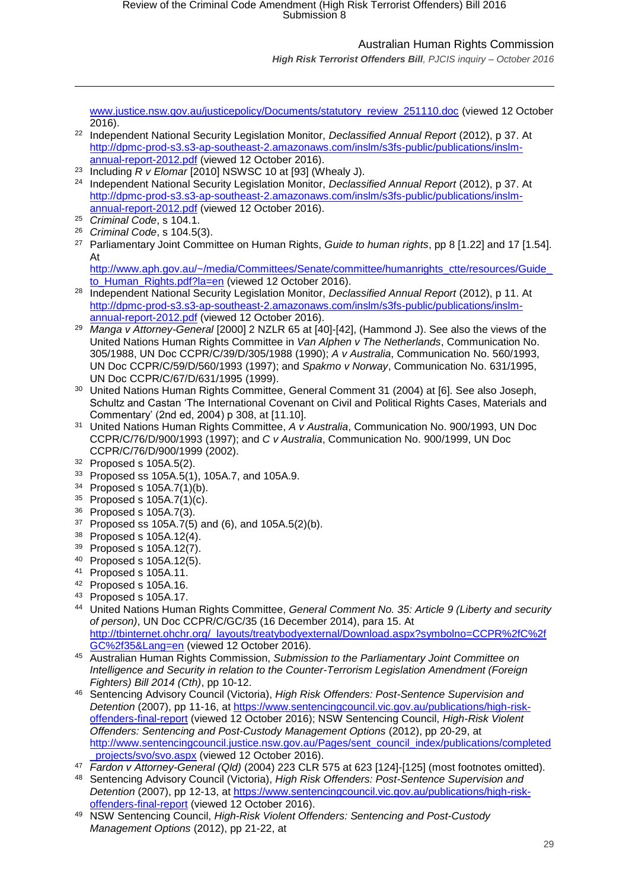*High Risk Terrorist Offenders Bill, PJCIS inquiry – October 2016*

[www.justice.nsw.gov.au/justicepolicy/Documents/statutory\\_review\\_251110.doc](http://www.justice.nsw.gov.au/justicepolicy/Documents/statutory_review_251110.doc) (viewed 12 October 2016).

- <sup>22</sup> Independent National Security Legislation Monitor, *Declassified Annual Report* (2012), p 37. At [http://dpmc-prod-s3.s3-ap-southeast-2.amazonaws.com/inslm/s3fs-public/publications/inslm](http://dpmc-prod-s3.s3-ap-southeast-2.amazonaws.com/inslm/s3fs-public/publications/inslm-annual-report-2012.pdf)[annual-report-2012.pdf](http://dpmc-prod-s3.s3-ap-southeast-2.amazonaws.com/inslm/s3fs-public/publications/inslm-annual-report-2012.pdf) (viewed 12 October 2016).
- <sup>23</sup> Including  $\overline{R}$  v Elomar [2010] NSWSC 10 at [93] (Whealy J).
- <sup>24</sup> Independent National Security Legislation Monitor, *Declassified Annual Report* (2012), p 37. At [http://dpmc-prod-s3.s3-ap-southeast-2.amazonaws.com/inslm/s3fs-public/publications/inslm](http://dpmc-prod-s3.s3-ap-southeast-2.amazonaws.com/inslm/s3fs-public/publications/inslm-annual-report-2012.pdf)[annual-report-2012.pdf](http://dpmc-prod-s3.s3-ap-southeast-2.amazonaws.com/inslm/s3fs-public/publications/inslm-annual-report-2012.pdf) (viewed 12 October 2016).
- <sup>25</sup> *Criminal Code*, s 104.1.

 $\overline{a}$ 

- <sup>26</sup> *Criminal Code*, s 104.5(3).
- <sup>27</sup> Parliamentary Joint Committee on Human Rights, *Guide to human rights*, pp 8 [1.22] and 17 [1.54]. At

[http://www.aph.gov.au/~/media/Committees/Senate/committee/humanrights\\_ctte/resources/Guide\\_](http://www.aph.gov.au/~/media/Committees/Senate/committee/humanrights_ctte/resources/Guide_to_Human_Rights.pdf?la=en) [to\\_Human\\_Rights.pdf?la=en](http://www.aph.gov.au/~/media/Committees/Senate/committee/humanrights_ctte/resources/Guide_to_Human_Rights.pdf?la=en) (viewed 12 October 2016).

- <sup>28</sup> Independent National Security Legislation Monitor, *Declassified Annual Report* (2012), p 11. At [http://dpmc-prod-s3.s3-ap-southeast-2.amazonaws.com/inslm/s3fs-public/publications/inslm](http://dpmc-prod-s3.s3-ap-southeast-2.amazonaws.com/inslm/s3fs-public/publications/inslm-annual-report-2012.pdf)[annual-report-2012.pdf](http://dpmc-prod-s3.s3-ap-southeast-2.amazonaws.com/inslm/s3fs-public/publications/inslm-annual-report-2012.pdf) (viewed 12 October 2016).
- <sup>29</sup> *Manga v Attorney-General* [2000] 2 NZLR 65 at [40]-[42], (Hammond J). See also the views of the United Nations Human Rights Committee in *Van Alphen v The Netherlands*, Communication No. 305/1988, UN Doc CCPR/C/39/D/305/1988 (1990); *A v Australia*, Communication No. 560/1993, UN Doc CCPR/C/59/D/560/1993 (1997); and *Spakmo v Norway*, Communication No. 631/1995, UN Doc CCPR/C/67/D/631/1995 (1999).
- <sup>30</sup> United Nations Human Rights Committee, General Comment 31 (2004) at [6]. See also Joseph, Schultz and Castan 'The International Covenant on Civil and Political Rights Cases, Materials and Commentary' (2nd ed, 2004) p 308, at [11.10].
- <sup>31</sup> United Nations Human Rights Committee, *A v Australia*, Communication No. 900/1993, UN Doc CCPR/C/76/D/900/1993 (1997); and *C v Australia*, Communication No. 900/1999, UN Doc CCPR/C/76/D/900/1999 (2002).
- $32$  Proposed s 105A.5(2).
- <sup>33</sup> Proposed ss 105A.5(1), 105A.7, and 105A.9.
- <sup>34</sup> Proposed s 105A.7(1)(b).
- <sup>35</sup> Proposed s 105A.7(1)(c).
- <sup>36</sup> Proposed s 105A.7(3).
- $37$  Proposed ss 105A.7(5) and (6), and 105A.5(2)(b).
- <sup>38</sup> Proposed s 105A.12(4).
- <sup>39</sup> Proposed s 105A.12(7).
- <sup>40</sup> Proposed s 105A.12(5).
- <sup>41</sup> Proposed s 105A.11.
- <sup>42</sup> Proposed s 105A.16.
- <sup>43</sup> Proposed s 105A.17.
- <sup>44</sup> United Nations Human Rights Committee, *General Comment No. 35: Article 9 (Liberty and security of person)*, UN Doc CCPR/C/GC/35 (16 December 2014), para 15. At [http://tbinternet.ohchr.org/\\_layouts/treatybodyexternal/Download.aspx?symbolno=CCPR%2fC%2f](http://tbinternet.ohchr.org/_layouts/treatybodyexternal/Download.aspx?symbolno=CCPR%2fC%2fGC%2f35&Lang=en) [GC%2f35&Lang=en](http://tbinternet.ohchr.org/_layouts/treatybodyexternal/Download.aspx?symbolno=CCPR%2fC%2fGC%2f35&Lang=en) (viewed 12 October 2016).
- <sup>45</sup> Australian Human Rights Commission, *Submission to the Parliamentary Joint Committee on Intelligence and Security in relation to the Counter-Terrorism Legislation Amendment (Foreign Fighters) Bill 2014 (Cth)*, pp 10-12.
- <sup>46</sup> Sentencing Advisory Council (Victoria), *High Risk Offenders: Post-Sentence Supervision and Detention* (2007), pp 11-16, at [https://www.sentencingcouncil.vic.gov.au/publications/high-risk](https://www.sentencingcouncil.vic.gov.au/publications/high-risk-offenders-final-report)[offenders-final-report](https://www.sentencingcouncil.vic.gov.au/publications/high-risk-offenders-final-report) (viewed 12 October 2016); NSW Sentencing Council, *High-Risk Violent Offenders: Sentencing and Post-Custody Management Options* (2012), pp 20-29, at [http://www.sentencingcouncil.justice.nsw.gov.au/Pages/sent\\_council\\_index/publications/completed](http://www.sentencingcouncil.justice.nsw.gov.au/Pages/sent_council_index/publications/completed_projects/svo/svo.aspx) projects/svo/svo.aspx (viewed 12 October 2016).
- <sup>47</sup> *Fardon v Attorney-General (Qld)* (2004) 223 CLR 575 at 623 [124]-[125] (most footnotes omitted).
- <sup>48</sup> Sentencing Advisory Council (Victoria), *High Risk Offenders: Post-Sentence Supervision and Detention* (2007), pp 12-13, at [https://www.sentencingcouncil.vic.gov.au/publications/high-risk](https://www.sentencingcouncil.vic.gov.au/publications/high-risk-offenders-final-report)[offenders-final-report](https://www.sentencingcouncil.vic.gov.au/publications/high-risk-offenders-final-report) (viewed 12 October 2016).
- <sup>49</sup> NSW Sentencing Council, *High-Risk Violent Offenders: Sentencing and Post-Custody Management Options* (2012), pp 21-22, at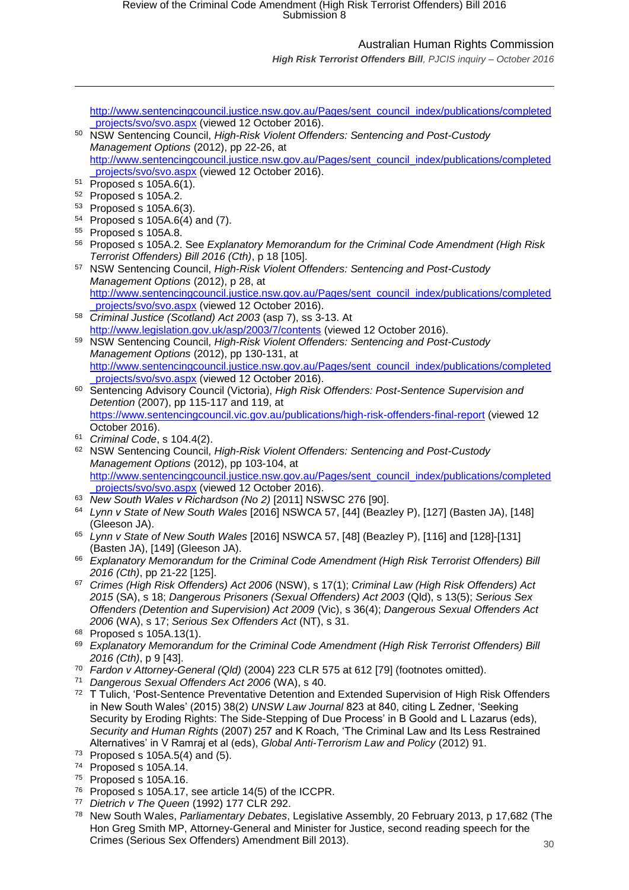*High Risk Terrorist Offenders Bill, PJCIS inquiry – October 2016*

[http://www.sentencingcouncil.justice.nsw.gov.au/Pages/sent\\_council\\_index/publications/completed](http://www.sentencingcouncil.justice.nsw.gov.au/Pages/sent_council_index/publications/completed_projects/svo/svo.aspx) projects/svo/svo.aspx (viewed 12 October 2016).

- <sup>50</sup> NSW Sentencing Council, *High-Risk Violent Offenders: Sentencing and Post-Custody Management Options* (2012), pp 22-26, at [http://www.sentencingcouncil.justice.nsw.gov.au/Pages/sent\\_council\\_index/publications/completed](http://www.sentencingcouncil.justice.nsw.gov.au/Pages/sent_council_index/publications/completed_projects/svo/svo.aspx) projects/svo/svo.aspx (viewed 12 October 2016).
- <sup>51</sup> Proposed s 105A.6(1).

 $\overline{a}$ 

- <sup>52</sup> Proposed s 105A.2.
- <sup>53</sup> Proposed s 105A.6(3).
- <sup>54</sup> Proposed s 105A.6(4) and (7).
- <sup>55</sup> Proposed s 105A.8.
- <sup>56</sup> Proposed s 105A.2. See *Explanatory Memorandum for the Criminal Code Amendment (High Risk Terrorist Offenders) Bill 2016 (Cth)*, p 18 [105].
- <sup>57</sup> NSW Sentencing Council, *High-Risk Violent Offenders: Sentencing and Post-Custody Management Options* (2012), p 28, at [http://www.sentencingcouncil.justice.nsw.gov.au/Pages/sent\\_council\\_index/publications/completed](http://www.sentencingcouncil.justice.nsw.gov.au/Pages/sent_council_index/publications/completed_projects/svo/svo.aspx) projects/svo/svo.aspx (viewed 12 October 2016).
- <sup>58</sup> *Criminal Justice (Scotland) Act 2003* (asp 7), ss 3-13. At <http://www.legislation.gov.uk/asp/2003/7/contents> (viewed 12 October 2016).
- <sup>59</sup> NSW Sentencing Council, *High-Risk Violent Offenders: Sentencing and Post-Custody Management Options* (2012), pp 130-131, at [http://www.sentencingcouncil.justice.nsw.gov.au/Pages/sent\\_council\\_index/publications/completed](http://www.sentencingcouncil.justice.nsw.gov.au/Pages/sent_council_index/publications/completed_projects/svo/svo.aspx) projects/svo/svo.aspx (viewed 12 October 2016).
- <sup>60</sup> Sentencing Advisory Council (Victoria), *High Risk Offenders: Post-Sentence Supervision and Detention* (2007), pp 115-117 and 119, at <https://www.sentencingcouncil.vic.gov.au/publications/high-risk-offenders-final-report> (viewed 12 October 2016).
- <sup>61</sup> *Criminal Code*, s 104.4(2).
- <sup>62</sup> NSW Sentencing Council, *High-Risk Violent Offenders: Sentencing and Post-Custody Management Options* (2012), pp 103-104, at [http://www.sentencingcouncil.justice.nsw.gov.au/Pages/sent\\_council\\_index/publications/completed](http://www.sentencingcouncil.justice.nsw.gov.au/Pages/sent_council_index/publications/completed_projects/svo/svo.aspx) projects/svo/svo.aspx (viewed 12 October 2016).
- <sup>63</sup> *New South Wales v Richardson (No 2)* [2011] NSWSC 276 [90].
- <sup>64</sup> *Lynn v State of New South Wales* [2016] NSWCA 57, [44] (Beazley P), [127] (Basten JA), [148] (Gleeson JA).
- <sup>65</sup> *Lynn v State of New South Wales* [2016] NSWCA 57, [48] (Beazley P), [116] and [128]-[131] (Basten JA), [149] (Gleeson JA).
- <sup>66</sup> *Explanatory Memorandum for the Criminal Code Amendment (High Risk Terrorist Offenders) Bill 2016 (Cth)*, pp 21-22 [125].
- <sup>67</sup> *Crimes (High Risk Offenders) Act 2006* (NSW), s 17(1); *Criminal Law (High Risk Offenders) Act 2015* (SA), s 18; *Dangerous Prisoners (Sexual Offenders) Act 2003* (Qld), s 13(5); *Serious Sex Offenders (Detention and Supervision) Act 2009* (Vic), s 36(4); *Dangerous Sexual Offenders Act 2006* (WA), s 17; *Serious Sex Offenders Act* (NT), s 31.
- $68$  Proposed s 105A.13(1).
- <sup>69</sup> *Explanatory Memorandum for the Criminal Code Amendment (High Risk Terrorist Offenders) Bill 2016 (Cth)*, p 9 [43].
- <sup>70</sup> *Fardon v Attorney-General (Qld)* (2004) 223 CLR 575 at 612 [79] (footnotes omitted).
- <sup>71</sup> *Dangerous Sexual Offenders Act 2006* (WA), s 40.
- 72 T Tulich, 'Post-Sentence Preventative Detention and Extended Supervision of High Risk Offenders in New South Wales' (2015) 38(2) *UNSW Law Journal* 823 at 840, citing L Zedner, 'Seeking Security by Eroding Rights: The Side-Stepping of Due Process' in B Goold and L Lazarus (eds), *Security and Human Rights* (2007) 257 and K Roach, 'The Criminal Law and Its Less Restrained Alternatives' in V Ramraj et al (eds), *Global Anti-Terrorism Law and Policy* (2012) 91.
- $73$  Proposed s 105A.5(4) and (5).
- <sup>74</sup> Proposed s 105A.14.
- <sup>75</sup> Proposed s 105A.16.
- <sup>76</sup> Proposed s 105A.17, see article 14(5) of the ICCPR.
- <sup>77</sup> *Dietrich v The Queen* (1992) 177 CLR 292.
- 30 <sup>78</sup> New South Wales, *Parliamentary Debates*, Legislative Assembly, 20 February 2013, p 17,682 (The Hon Greg Smith MP, Attorney-General and Minister for Justice, second reading speech for the Crimes (Serious Sex Offenders) Amendment Bill 2013).